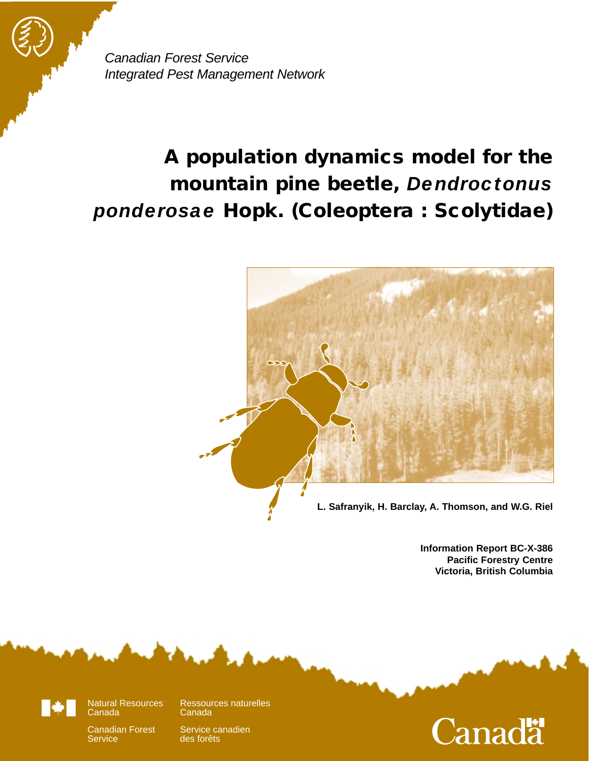Canadian Forest Service Integrated Pest Management Network

# **A population dynamics model for the mountain pine beetle,** *Dendroctonus ponderosae* **Hopk. (Coleoptera : Scolytidae)**



**Information Report BC-X-386 Pacific Forestry Centre Victoria, British Columbia**



**Service** 

des forêts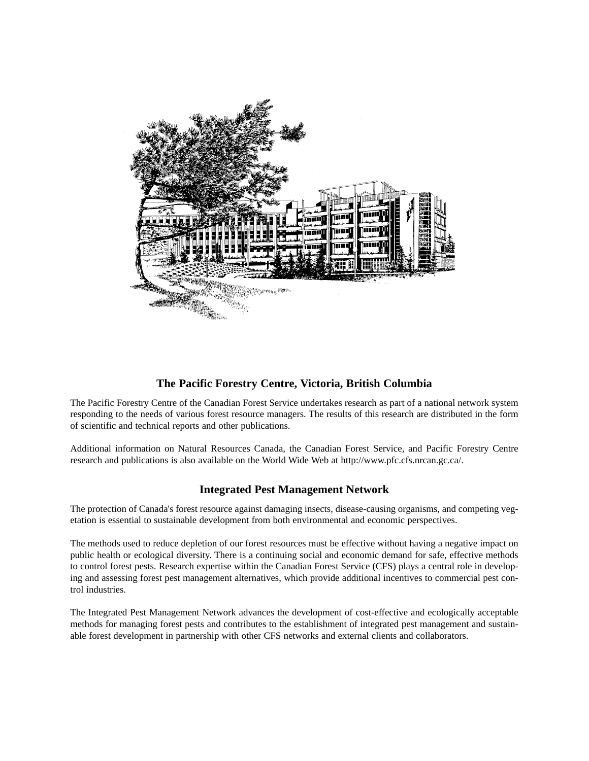

#### **The Pacific Forestry Centre, Victoria, British Columbia**

The Pacific Forestry Centre of the Canadian Forest Service undertakes research as part of a national network system responding to the needs of various forest resource managers. The results of this research are distributed in the form of scientific and technical reports and other publications.

Additional information on Natural Resources Canada, the Canadian Forest Service, and Pacific Forestry Centre research and publications is also available on the World Wide Web at http://www.pfc.cfs.nrcan.gc.ca/.

#### **Integrated Pest Management Network**

The protection of Canada's forest resource against damaging insects, disease-causing organisms, and competing vegetation is essential to sustainable development from both environmental and economic perspectives.

The methods used to reduce depletion of our forest resources must be effective without having a negative impact on public health or ecological diversity. There is a continuing social and economic demand for safe, effective methods to control forest pests. Research expertise within the Canadian Forest Service (CFS) plays a central role in developing and assessing forest pest management alternatives, which provide additional incentives to commercial pest control industries.

The Integrated Pest Management Network advances the development of cost-effective and ecologically acceptable methods for managing forest pests and contributes to the establishment of integrated pest management and sustainable forest development in partnership with other CFS networks and external clients and collaborators.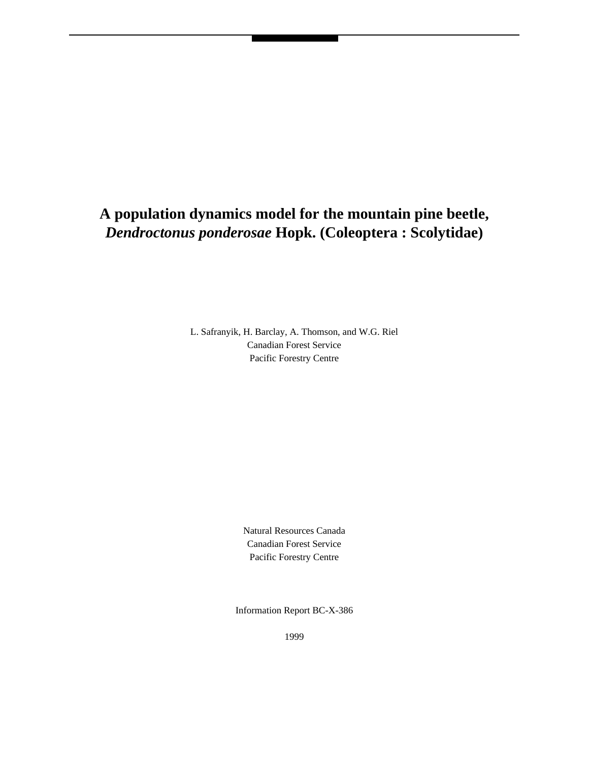# **A population dynamics model for the mountain pine beetle,** *Dendroctonus ponderosae* **Hopk. (Coleoptera : Scolytidae)**

L. Safranyik, H. Barclay, A. Thomson, and W.G. Riel Canadian Forest Service Pacific Forestry Centre

> Natural Resources Canada Canadian Forest Service Pacific Forestry Centre

Information Report BC-X-386

1999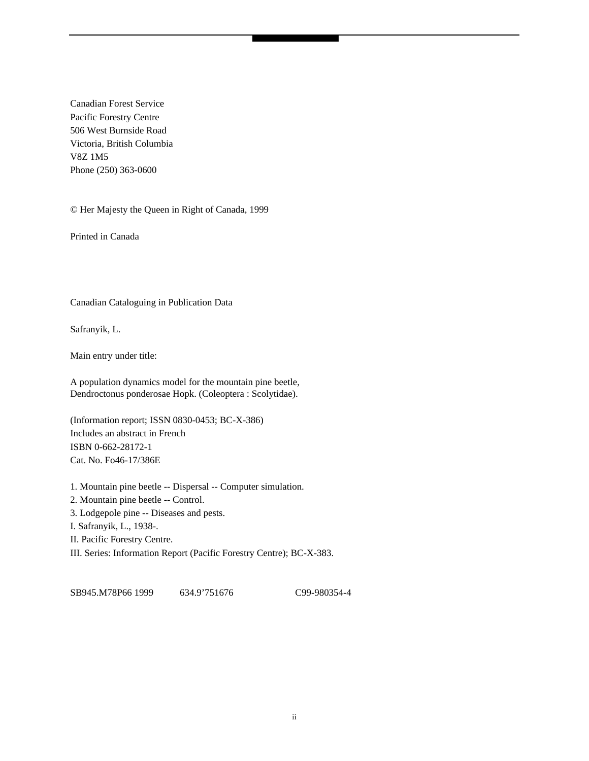Canadian Forest Service Pacific Forestry Centre 506 West Burnside Road Victoria, British Columbia V8Z 1M5 Phone (250) 363-0600

© Her Majesty the Queen in Right of Canada, 1999

Printed in Canada

Canadian Cataloguing in Publication Data

Safranyik, L.

Main entry under title:

A population dynamics model for the mountain pine beetle, Dendroctonus ponderosae Hopk. (Coleoptera : Scolytidae).

(Information report; ISSN 0830-0453; BC-X-386) Includes an abstract in French ISBN 0-662-28172-1 Cat. No. Fo46-17/386E

1. Mountain pine beetle -- Dispersal -- Computer simulation. 2. Mountain pine beetle -- Control.

3. Lodgepole pine -- Diseases and pests.

I. Safranyik, L., 1938-.

II. Pacific Forestry Centre.

III. Series: Information Report (Pacific Forestry Centre); BC-X-383.

SB945.M78P66 1999 634.9'751676 C99-980354-4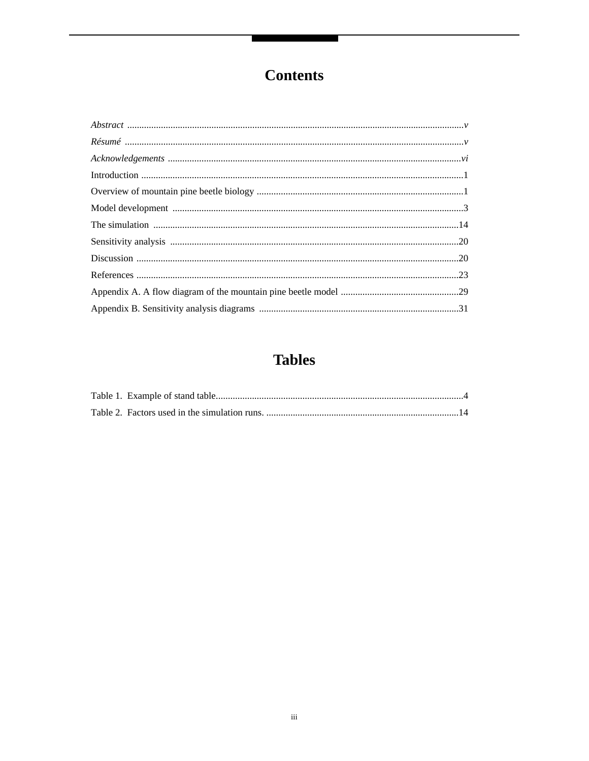# **Contents**

# **Tables**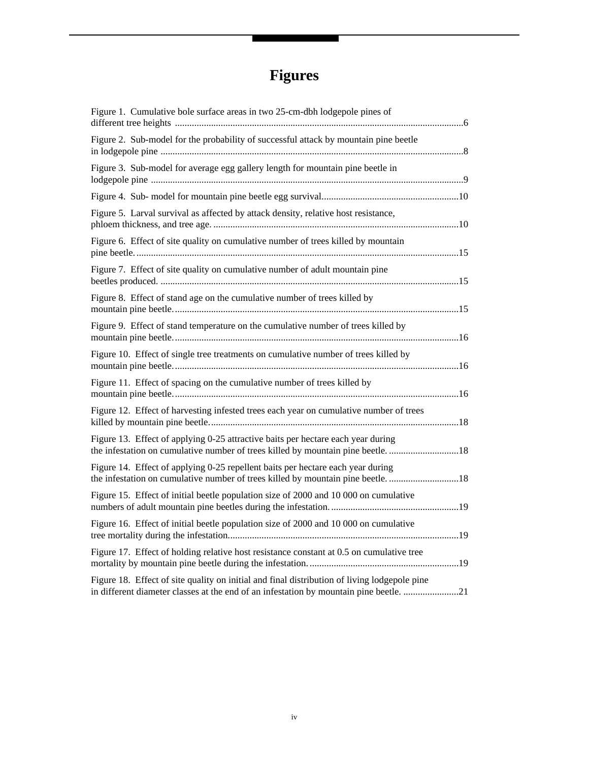# **Figures**

| Figure 1. Cumulative bole surface areas in two 25-cm-dbh lodgepole pines of                                                                                                          |
|--------------------------------------------------------------------------------------------------------------------------------------------------------------------------------------|
| Figure 2. Sub-model for the probability of successful attack by mountain pine beetle                                                                                                 |
| Figure 3. Sub-model for average egg gallery length for mountain pine beetle in                                                                                                       |
|                                                                                                                                                                                      |
| Figure 5. Larval survival as affected by attack density, relative host resistance,                                                                                                   |
| Figure 6. Effect of site quality on cumulative number of trees killed by mountain                                                                                                    |
| Figure 7. Effect of site quality on cumulative number of adult mountain pine                                                                                                         |
| Figure 8. Effect of stand age on the cumulative number of trees killed by                                                                                                            |
| Figure 9. Effect of stand temperature on the cumulative number of trees killed by                                                                                                    |
| Figure 10. Effect of single tree treatments on cumulative number of trees killed by                                                                                                  |
| Figure 11. Effect of spacing on the cumulative number of trees killed by                                                                                                             |
| Figure 12. Effect of harvesting infested trees each year on cumulative number of trees                                                                                               |
| Figure 13. Effect of applying 0-25 attractive baits per hectare each year during<br>the infestation on cumulative number of trees killed by mountain pine beetle. 18                 |
| Figure 14. Effect of applying 0-25 repellent baits per hectare each year during                                                                                                      |
| Figure 15. Effect of initial beetle population size of 2000 and 10 000 on cumulative                                                                                                 |
| Figure 16. Effect of initial beetle population size of 2000 and 10 000 on cumulative                                                                                                 |
| Figure 17. Effect of holding relative host resistance constant at 0.5 on cumulative tree                                                                                             |
| Figure 18. Effect of site quality on initial and final distribution of living lodgepole pine<br>in different diameter classes at the end of an infestation by mountain pine beetle21 |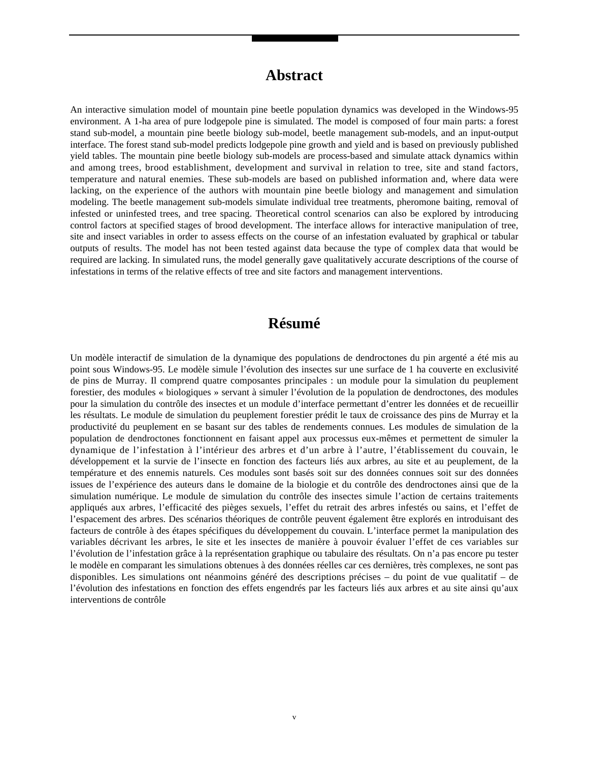### **Abstract**

An interactive simulation model of mountain pine beetle population dynamics was developed in the Windows-95 environment. A 1-ha area of pure lodgepole pine is simulated. The model is composed of four main parts: a forest stand sub-model, a mountain pine beetle biology sub-model, beetle management sub-models, and an input-output interface. The forest stand sub-model predicts lodgepole pine growth and yield and is based on previously published yield tables. The mountain pine beetle biology sub-models are process-based and simulate attack dynamics within and among trees, brood establishment, development and survival in relation to tree, site and stand factors, temperature and natural enemies. These sub-models are based on published information and, where data were lacking, on the experience of the authors with mountain pine beetle biology and management and simulation modeling. The beetle management sub-models simulate individual tree treatments, pheromone baiting, removal of infested or uninfested trees, and tree spacing. Theoretical control scenarios can also be explored by introducing control factors at specified stages of brood development. The interface allows for interactive manipulation of tree, site and insect variables in order to assess effects on the course of an infestation evaluated by graphical or tabular outputs of results. The model has not been tested against data because the type of complex data that would be required are lacking. In simulated runs, the model generally gave qualitatively accurate descriptions of the course of infestations in terms of the relative effects of tree and site factors and management interventions.

### **Résumé**

Un modèle interactif de simulation de la dynamique des populations de dendroctones du pin argenté a été mis au point sous Windows-95. Le modèle simule l'évolution des insectes sur une surface de 1 ha couverte en exclusivité de pins de Murray. Il comprend quatre composantes principales : un module pour la simulation du peuplement forestier, des modules « biologiques » servant à simuler l'évolution de la population de dendroctones, des modules pour la simulation du contrôle des insectes et un module d'interface permettant d'entrer les données et de recueillir les résultats. Le module de simulation du peuplement forestier prédit le taux de croissance des pins de Murray et la productivité du peuplement en se basant sur des tables de rendements connues. Les modules de simulation de la population de dendroctones fonctionnent en faisant appel aux processus eux-mêmes et permettent de simuler la dynamique de l'infestation à l'intérieur des arbres et d'un arbre à l'autre, l'établissement du couvain, le développement et la survie de l'insecte en fonction des facteurs liés aux arbres, au site et au peuplement, de la température et des ennemis naturels. Ces modules sont basés soit sur des données connues soit sur des données issues de l'expérience des auteurs dans le domaine de la biologie et du contrôle des dendroctones ainsi que de la simulation numérique. Le module de simulation du contrôle des insectes simule l'action de certains traitements appliqués aux arbres, l'efficacité des pièges sexuels, l'effet du retrait des arbres infestés ou sains, et l'effet de l'espacement des arbres. Des scénarios théoriques de contrôle peuvent également être explorés en introduisant des facteurs de contrôle à des étapes spécifiques du développement du couvain. L'interface permet la manipulation des variables décrivant les arbres, le site et les insectes de manière à pouvoir évaluer l'effet de ces variables sur l'évolution de l'infestation grâce à la représentation graphique ou tabulaire des résultats. On n'a pas encore pu tester le modèle en comparant les simulations obtenues à des données réelles car ces dernières, très complexes, ne sont pas disponibles. Les simulations ont néanmoins généré des descriptions précises – du point de vue qualitatif – de l'évolution des infestations en fonction des effets engendrés par les facteurs liés aux arbres et au site ainsi qu'aux interventions de contrôle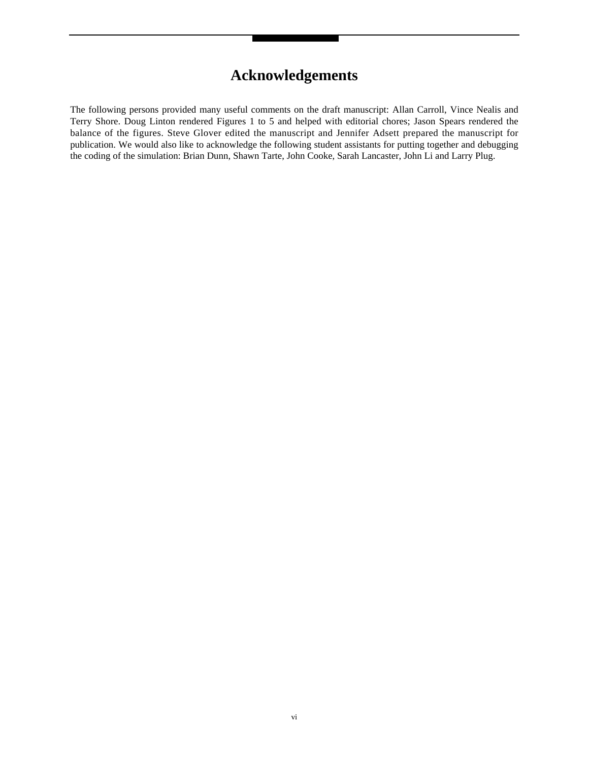## **Acknowledgements**

The following persons provided many useful comments on the draft manuscript: Allan Carroll, Vince Nealis and Terry Shore. Doug Linton rendered Figures 1 to 5 and helped with editorial chores; Jason Spears rendered the balance of the figures. Steve Glover edited the manuscript and Jennifer Adsett prepared the manuscript for publication. We would also like to acknowledge the following student assistants for putting together and debugging the coding of the simulation: Brian Dunn, Shawn Tarte, John Cooke, Sarah Lancaster, John Li and Larry Plug.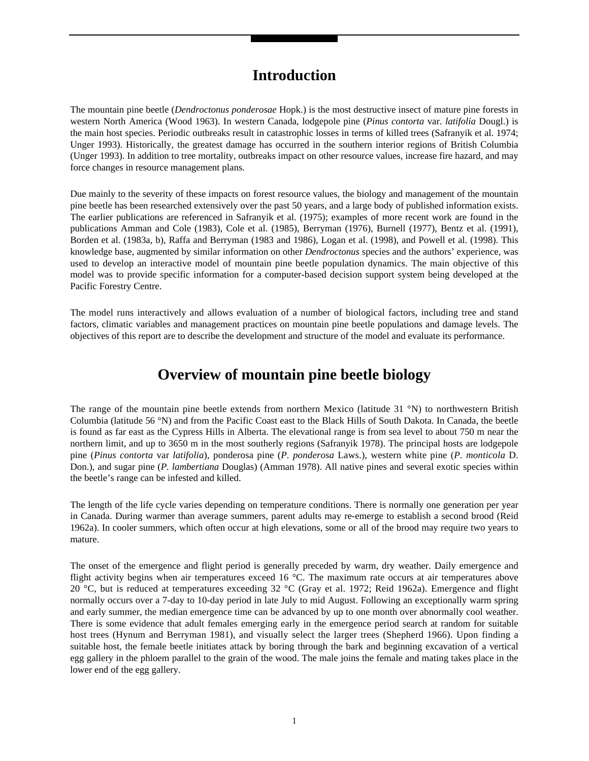### **Introduction**

The mountain pine beetle (*Dendroctonus ponderosae* Hopk.) is the most destructive insect of mature pine forests in western North America (Wood 1963). In western Canada, lodgepole pine (*Pinus contorta* var. *latifolia* Dougl.) is the main host species. Periodic outbreaks result in catastrophic losses in terms of killed trees (Safranyik et al. 1974; Unger 1993). Historically, the greatest damage has occurred in the southern interior regions of British Columbia (Unger 1993). In addition to tree mortality, outbreaks impact on other resource values, increase fire hazard, and may force changes in resource management plans.

Due mainly to the severity of these impacts on forest resource values, the biology and management of the mountain pine beetle has been researched extensively over the past 50 years, and a large body of published information exists. The earlier publications are referenced in Safranyik et al. (1975); examples of more recent work are found in the publications Amman and Cole (1983), Cole et al. (1985), Berryman (1976), Burnell (1977), Bentz et al. (1991), Borden et al. (1983a, b), Raffa and Berryman (1983 and 1986), Logan et al. (1998), and Powell et al. (1998). This knowledge base, augmented by similar information on other *Dendroctonus* species and the authors' experience, was used to develop an interactive model of mountain pine beetle population dynamics. The main objective of this model was to provide specific information for a computer-based decision support system being developed at the Pacific Forestry Centre.

The model runs interactively and allows evaluation of a number of biological factors, including tree and stand factors, climatic variables and management practices on mountain pine beetle populations and damage levels. The objectives of this report are to describe the development and structure of the model and evaluate its performance.

### **Overview of mountain pine beetle biology**

The range of the mountain pine beetle extends from northern Mexico (latitude 31 °N) to northwestern British Columbia (latitude 56 °N) and from the Pacific Coast east to the Black Hills of South Dakota. In Canada, the beetle is found as far east as the Cypress Hills in Alberta. The elevational range is from sea level to about 750 m near the northern limit, and up to 3650 m in the most southerly regions (Safranyik 1978). The principal hosts are lodgepole pine (*Pinus contorta* var *latifolia*), ponderosa pine (*P. ponderosa* Laws.), western white pine (*P. monticola* D. Don.), and sugar pine (*P. lambertiana* Douglas) (Amman 1978). All native pines and several exotic species within the beetle's range can be infested and killed.

The length of the life cycle varies depending on temperature conditions. There is normally one generation per year in Canada. During warmer than average summers, parent adults may re-emerge to establish a second brood (Reid 1962a). In cooler summers, which often occur at high elevations, some or all of the brood may require two years to mature.

The onset of the emergence and flight period is generally preceded by warm, dry weather. Daily emergence and flight activity begins when air temperatures exceed 16 °C. The maximum rate occurs at air temperatures above 20 °C, but is reduced at temperatures exceeding 32 °C (Gray et al. 1972; Reid 1962a). Emergence and flight normally occurs over a 7-day to 10-day period in late July to mid August. Following an exceptionally warm spring and early summer, the median emergence time can be advanced by up to one month over abnormally cool weather. There is some evidence that adult females emerging early in the emergence period search at random for suitable host trees (Hynum and Berryman 1981), and visually select the larger trees (Shepherd 1966). Upon finding a suitable host, the female beetle initiates attack by boring through the bark and beginning excavation of a vertical egg gallery in the phloem parallel to the grain of the wood. The male joins the female and mating takes place in the lower end of the egg gallery.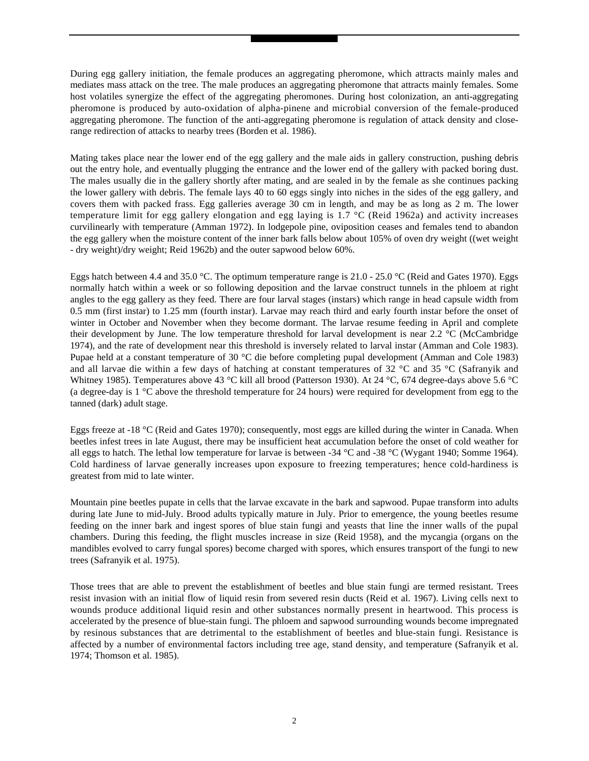During egg gallery initiation, the female produces an aggregating pheromone, which attracts mainly males and mediates mass attack on the tree. The male produces an aggregating pheromone that attracts mainly females. Some host volatiles synergize the effect of the aggregating pheromones. During host colonization, an anti-aggregating pheromone is produced by auto-oxidation of alpha-pinene and microbial conversion of the female-produced aggregating pheromone. The function of the anti-aggregating pheromone is regulation of attack density and closerange redirection of attacks to nearby trees (Borden et al. 1986).

Mating takes place near the lower end of the egg gallery and the male aids in gallery construction, pushing debris out the entry hole, and eventually plugging the entrance and the lower end of the gallery with packed boring dust. The males usually die in the gallery shortly after mating, and are sealed in by the female as she continues packing the lower gallery with debris. The female lays 40 to 60 eggs singly into niches in the sides of the egg gallery, and covers them with packed frass. Egg galleries average 30 cm in length, and may be as long as 2 m. The lower temperature limit for egg gallery elongation and egg laying is  $1.7 \degree C$  (Reid 1962a) and activity increases curvilinearly with temperature (Amman 1972). In lodgepole pine, oviposition ceases and females tend to abandon the egg gallery when the moisture content of the inner bark falls below about 105% of oven dry weight ((wet weight - dry weight)/dry weight; Reid 1962b) and the outer sapwood below 60%.

Eggs hatch between 4.4 and 35.0 °C. The optimum temperature range is 21.0 - 25.0 °C (Reid and Gates 1970). Eggs normally hatch within a week or so following deposition and the larvae construct tunnels in the phloem at right angles to the egg gallery as they feed. There are four larval stages (instars) which range in head capsule width from 0.5 mm (first instar) to 1.25 mm (fourth instar). Larvae may reach third and early fourth instar before the onset of winter in October and November when they become dormant. The larvae resume feeding in April and complete their development by June. The low temperature threshold for larval development is near 2.2 °C (McCambridge 1974), and the rate of development near this threshold is inversely related to larval instar (Amman and Cole 1983). Pupae held at a constant temperature of 30 °C die before completing pupal development (Amman and Cole 1983) and all larvae die within a few days of hatching at constant temperatures of 32 °C and 35 °C (Safranyik and Whitney 1985). Temperatures above 43 °C kill all brood (Patterson 1930). At 24 °C, 674 degree-days above 5.6 °C (a degree-day is  $1 \degree C$  above the threshold temperature for 24 hours) were required for development from egg to the tanned (dark) adult stage.

Eggs freeze at -18 °C (Reid and Gates 1970); consequently, most eggs are killed during the winter in Canada. When beetles infest trees in late August, there may be insufficient heat accumulation before the onset of cold weather for all eggs to hatch. The lethal low temperature for larvae is between -34  $^{\circ}$ C and -38  $^{\circ}$ C (Wygant 1940; Somme 1964). Cold hardiness of larvae generally increases upon exposure to freezing temperatures; hence cold-hardiness is greatest from mid to late winter.

Mountain pine beetles pupate in cells that the larvae excavate in the bark and sapwood. Pupae transform into adults during late June to mid-July. Brood adults typically mature in July. Prior to emergence, the young beetles resume feeding on the inner bark and ingest spores of blue stain fungi and yeasts that line the inner walls of the pupal chambers. During this feeding, the flight muscles increase in size (Reid 1958), and the mycangia (organs on the mandibles evolved to carry fungal spores) become charged with spores, which ensures transport of the fungi to new trees (Safranyik et al. 1975).

Those trees that are able to prevent the establishment of beetles and blue stain fungi are termed resistant. Trees resist invasion with an initial flow of liquid resin from severed resin ducts (Reid et al. 1967). Living cells next to wounds produce additional liquid resin and other substances normally present in heartwood. This process is accelerated by the presence of blue-stain fungi. The phloem and sapwood surrounding wounds become impregnated by resinous substances that are detrimental to the establishment of beetles and blue-stain fungi. Resistance is affected by a number of environmental factors including tree age, stand density, and temperature (Safranyik et al. 1974; Thomson et al. 1985).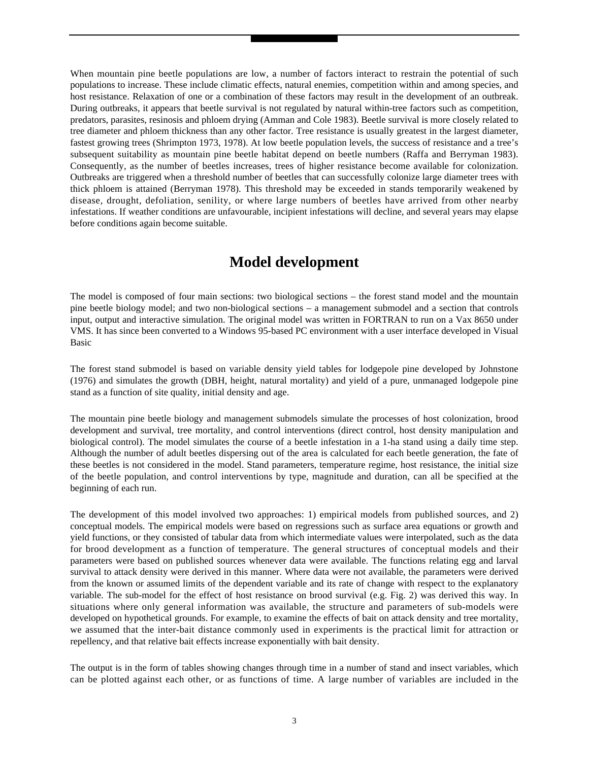When mountain pine beetle populations are low, a number of factors interact to restrain the potential of such populations to increase. These include climatic effects, natural enemies, competition within and among species, and host resistance. Relaxation of one or a combination of these factors may result in the development of an outbreak. During outbreaks, it appears that beetle survival is not regulated by natural within-tree factors such as competition, predators, parasites, resinosis and phloem drying (Amman and Cole 1983). Beetle survival is more closely related to tree diameter and phloem thickness than any other factor. Tree resistance is usually greatest in the largest diameter, fastest growing trees (Shrimpton 1973, 1978). At low beetle population levels, the success of resistance and a tree's subsequent suitability as mountain pine beetle habitat depend on beetle numbers (Raffa and Berryman 1983). Consequently, as the number of beetles increases, trees of higher resistance become available for colonization. Outbreaks are triggered when a threshold number of beetles that can successfully colonize large diameter trees with thick phloem is attained (Berryman 1978). This threshold may be exceeded in stands temporarily weakened by disease, drought, defoliation, senility, or where large numbers of beetles have arrived from other nearby infestations. If weather conditions are unfavourable, incipient infestations will decline, and several years may elapse before conditions again become suitable.

### **Model development**

The model is composed of four main sections: two biological sections – the forest stand model and the mountain pine beetle biology model; and two non-biological sections – a management submodel and a section that controls input, output and interactive simulation. The original model was written in FORTRAN to run on a Vax 8650 under VMS. It has since been converted to a Windows 95-based PC environment with a user interface developed in Visual Basic

The forest stand submodel is based on variable density yield tables for lodgepole pine developed by Johnstone (1976) and simulates the growth (DBH, height, natural mortality) and yield of a pure, unmanaged lodgepole pine stand as a function of site quality, initial density and age.

The mountain pine beetle biology and management submodels simulate the processes of host colonization, brood development and survival, tree mortality, and control interventions (direct control, host density manipulation and biological control). The model simulates the course of a beetle infestation in a 1-ha stand using a daily time step. Although the number of adult beetles dispersing out of the area is calculated for each beetle generation, the fate of these beetles is not considered in the model. Stand parameters, temperature regime, host resistance, the initial size of the beetle population, and control interventions by type, magnitude and duration, can all be specified at the beginning of each run.

The development of this model involved two approaches: 1) empirical models from published sources, and 2) conceptual models. The empirical models were based on regressions such as surface area equations or growth and yield functions, or they consisted of tabular data from which intermediate values were interpolated, such as the data for brood development as a function of temperature. The general structures of conceptual models and their parameters were based on published sources whenever data were available. The functions relating egg and larval survival to attack density were derived in this manner. Where data were not available, the parameters were derived from the known or assumed limits of the dependent variable and its rate of change with respect to the explanatory variable. The sub-model for the effect of host resistance on brood survival (e.g. Fig. 2) was derived this way. In situations where only general information was available, the structure and parameters of sub-models were developed on hypothetical grounds. For example, to examine the effects of bait on attack density and tree mortality, we assumed that the inter-bait distance commonly used in experiments is the practical limit for attraction or repellency, and that relative bait effects increase exponentially with bait density.

The output is in the form of tables showing changes through time in a number of stand and insect variables, which can be plotted against each other, or as functions of time. A large number of variables are included in the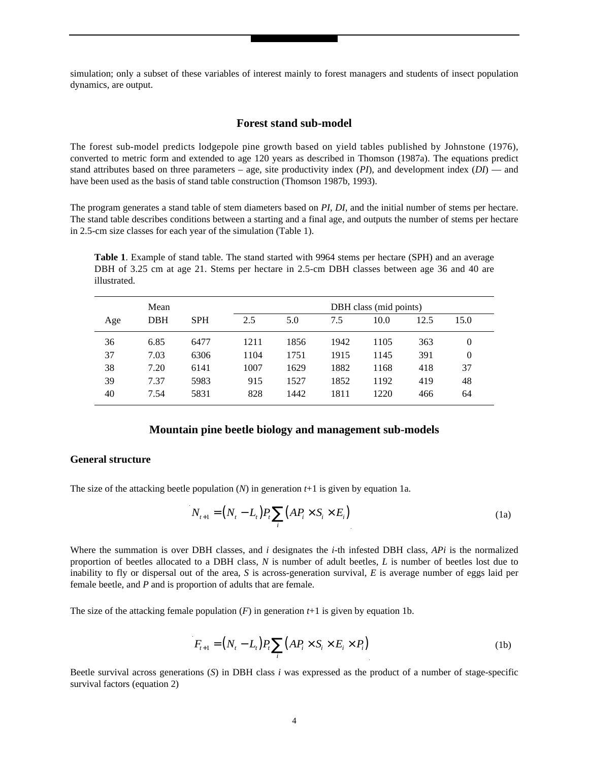simulation; only a subset of these variables of interest mainly to forest managers and students of insect population dynamics, are output.

#### **Forest stand sub-model**

The forest sub-model predicts lodgepole pine growth based on yield tables published by Johnstone (1976), converted to metric form and extended to age 120 years as described in Thomson (1987a). The equations predict stand attributes based on three parameters – age, site productivity index (*PI*), and development index (*DI*) — and have been used as the basis of stand table construction (Thomson 1987b, 1993).

The program generates a stand table of stem diameters based on *PI*, *DI*, and the initial number of stems per hectare. The stand table describes conditions between a starting and a final age, and outputs the number of stems per hectare in 2.5-cm size classes for each year of the simulation (Table 1).

**Table 1**. Example of stand table. The stand started with 9964 stems per hectare (SPH) and an average DBH of 3.25 cm at age 21. Stems per hectare in 2.5-cm DBH classes between age 36 and 40 are illustrated.

|     | Mean |            |      | DBH class (mid points) |      |      |      |      |
|-----|------|------------|------|------------------------|------|------|------|------|
| Age | DBH  | <b>SPH</b> | 2.5  | 5.0                    | 7.5  | 10.0 | 12.5 | 15.0 |
| 36  | 6.85 | 6477       | 1211 | 1856                   | 1942 | 1105 | 363  | 0    |
| 37  | 7.03 | 6306       | 1104 | 1751                   | 1915 | 1145 | 391  | 0    |
| 38  | 7.20 | 6141       | 1007 | 1629                   | 1882 | 1168 | 418  | 37   |
| 39  | 7.37 | 5983       | 915  | 1527                   | 1852 | 1192 | 419  | 48   |
| 40  | 7.54 | 5831       | 828  | 1442                   | 1811 | 1220 | 466  | 64   |

#### **Mountain pine beetle biology and management sub-models**

#### **General structure**

The size of the attacking beetle population  $(N)$  in generation  $t+1$  is given by equation 1a.

$$
N_{t+1} = (N_t - L_t)P_t \sum_i (AP_i \times S_i \times E_i)
$$
\n(1a)

Where the summation is over DBH classes, and *i* designates the *i*-th infested DBH class, *APi* is the normalized proportion of beetles allocated to a DBH class, *N* is number of adult beetles, *L* is number of beetles lost due to inability to fly or dispersal out of the area, *S* is across-generation survival, *E* is average number of eggs laid per female beetle, and *P* and is proportion of adults that are female.

The size of the attacking female population  $(F)$  in generation  $t+1$  is given by equation 1b.

$$
F_{i+1} = (N_i - L_i) P_i \sum_i (AP_i \times S_i \times E_i \times P_i)
$$
\n(1b)

Beetle survival across generations (*S*) in DBH class *i* was expressed as the product of a number of stage-specific survival factors (equation 2)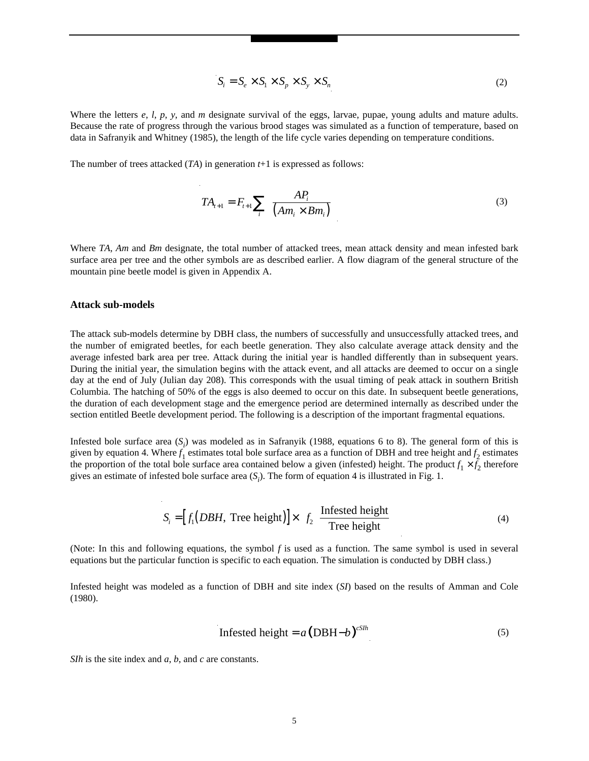$$
S_i = S_e \times S_1 \times S_p \times S_y \times S_n \tag{2}
$$

Where the letters *e*, *l*, *p*, *y*, and *m* designate survival of the eggs, larvae, pupae, young adults and mature adults. Because the rate of progress through the various brood stages was simulated as a function of temperature, based on data in Safranyik and Whitney (1985), the length of the life cycle varies depending on temperature conditions.

The number of trees attacked (*TA*) in generation *t*+1 is expressed as follows:

$$
TA_{t+1} = F_{t+1} \sum_{i} \left( \frac{AP_i}{\left( Am_i \times Bm_i \right)} \right) \tag{3}
$$

Where *TA*, *Am* and *Bm* designate, the total number of attacked trees, mean attack density and mean infested bark surface area per tree and the other symbols are as described earlier. A flow diagram of the general structure of the mountain pine beetle model is given in Appendix A.

#### **Attack sub-models**

The attack sub-models determine by DBH class, the numbers of successfully and unsuccessfully attacked trees, and the number of emigrated beetles, for each beetle generation. They also calculate average attack density and the average infested bark area per tree. Attack during the initial year is handled differently than in subsequent years. During the initial year, the simulation begins with the attack event, and all attacks are deemed to occur on a single day at the end of July (Julian day 208). This corresponds with the usual timing of peak attack in southern British Columbia. The hatching of 50% of the eggs is also deemed to occur on this date. In subsequent beetle generations, the duration of each development stage and the emergence period are determined internally as described under the section entitled Beetle development period. The following is a description of the important fragmental equations.

Infested bole surface area  $(S_i)$  was modeled as in Safranyik (1988, equations 6 to 8). The general form of this is given by equation 4. Where  $f_1$  estimates total bole surface area as a function of DBH and tree height and  $f_2$  estimates the proportion of the total bole surface area contained below a given (infested) height. The product  $f_1 \times f_2$  therefore gives an estimate of infested bole surface area  $(S_i)$ . The form of equation 4 is illustrated in Fig. 1.

$$
S_i = [f_1(DBH, \text{Tree height})] \times \left[ f_2 \left( \frac{\text{Infested height}}{\text{Tree height}} \right) \right]
$$
 (4)

(Note: In this and following equations, the symbol *f* is used as a function. The same symbol is used in several equations but the particular function is specific to each equation. The simulation is conducted by DBH class.)

Infested height was modeled as a function of DBH and site index (*SI*) based on the results of Amman and Cole (1980).

$$
Infested height = a (DBH - b)^{cS/h}
$$
 (5)

*SIh* is the site index and *a*, *b*, and *c* are constants.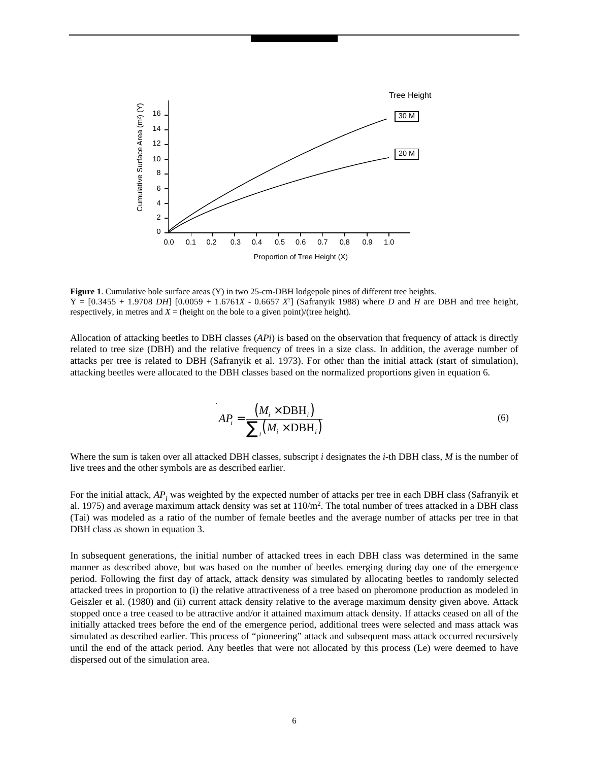

**Figure 1**. Cumulative bole surface areas (Y) in two 25-cm-DBH lodgepole pines of different tree heights.  $Y = [0.3455 + 1.9708 \, DH]$  [0.0059 + 1.6761*X* - 0.6657 *X*<sup>2</sup>] (Safranyik 1988) where *D* and *H* are DBH and tree height, respectively, in metres and  $X =$  (height on the bole to a given point)/(tree height).

Allocation of attacking beetles to DBH classes (*APi*) is based on the observation that frequency of attack is directly related to tree size (DBH) and the relative frequency of trees in a size class. In addition, the average number of attacks per tree is related to DBH (Safranyik et al. 1973). For other than the initial attack (start of simulation), attacking beetles were allocated to the DBH classes based on the normalized proportions given in equation 6.

$$
AP_i = \frac{(M_i \times DBH_i)}{\sum_i (M_i \times DBH_i)}
$$
(6)

Where the sum is taken over all attacked DBH classes, subscript *i* designates the *i-*th DBH class, *M* is the number of live trees and the other symbols are as described earlier.

For the initial attack,  $AP_i$  was weighted by the expected number of attacks per tree in each DBH class (Safranyik et al. 1975) and average maximum attack density was set at 110/m2. The total number of trees attacked in a DBH class (Tai) was modeled as a ratio of the number of female beetles and the average number of attacks per tree in that DBH class as shown in equation 3.

In subsequent generations, the initial number of attacked trees in each DBH class was determined in the same manner as described above, but was based on the number of beetles emerging during day one of the emergence period. Following the first day of attack, attack density was simulated by allocating beetles to randomly selected attacked trees in proportion to (i) the relative attractiveness of a tree based on pheromone production as modeled in Geiszler et al. (1980) and (ii) current attack density relative to the average maximum density given above. Attack stopped once a tree ceased to be attractive and/or it attained maximum attack density. If attacks ceased on all of the initially attacked trees before the end of the emergence period, additional trees were selected and mass attack was simulated as described earlier. This process of "pioneering" attack and subsequent mass attack occurred recursively until the end of the attack period. Any beetles that were not allocated by this process (Le) were deemed to have dispersed out of the simulation area.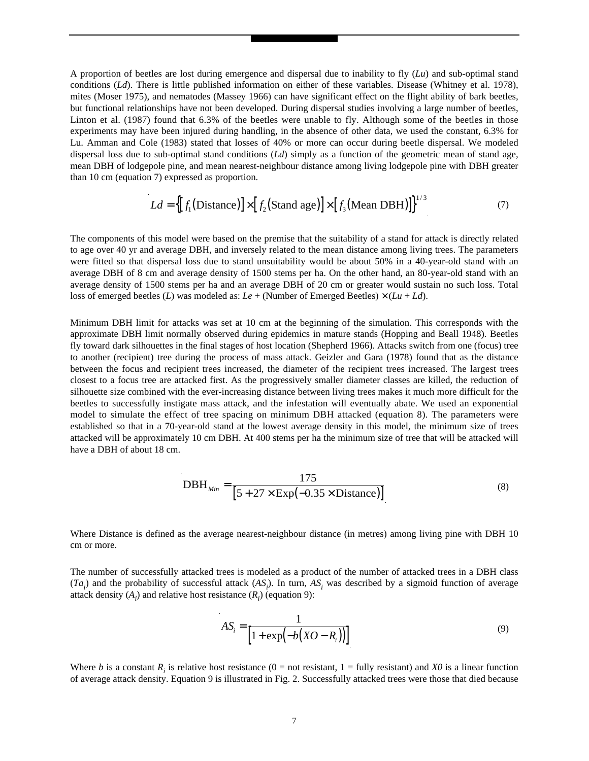A proportion of beetles are lost during emergence and dispersal due to inability to fly (*Lu*) and sub-optimal stand conditions (*Ld*). There is little published information on either of these variables. Disease (Whitney et al. 1978), mites (Moser 1975), and nematodes (Massey 1966) can have significant effect on the flight ability of bark beetles, but functional relationships have not been developed. During dispersal studies involving a large number of beetles, Linton et al. (1987) found that 6.3% of the beetles were unable to fly. Although some of the beetles in those experiments may have been injured during handling, in the absence of other data, we used the constant, 6.3% for Lu. Amman and Cole (1983) stated that losses of 40% or more can occur during beetle dispersal. We modeled dispersal loss due to sub-optimal stand conditions (*Ld*) simply as a function of the geometric mean of stand age, mean DBH of lodgepole pine, and mean nearest-neighbour distance among living lodgepole pine with DBH greater than 10 cm (equation 7) expressed as proportion.

$$
Ld = \left\{ [f_1(\text{Distance})] \times [f_2(\text{Stand age})] \times [f_3(\text{Mean DBH})] \right\}^{1/3}
$$
 (7)

The components of this model were based on the premise that the suitability of a stand for attack is directly related to age over 40 yr and average DBH, and inversely related to the mean distance among living trees. The parameters were fitted so that dispersal loss due to stand unsuitability would be about 50% in a 40-year-old stand with an average DBH of 8 cm and average density of 1500 stems per ha. On the other hand, an 80-year-old stand with an average density of 1500 stems per ha and an average DBH of 20 cm or greater would sustain no such loss. Total loss of emerged beetles (*L*) was modeled as:  $Le + (Number of Emerged Beetles) \times (Lu + Ld)$ .

Minimum DBH limit for attacks was set at 10 cm at the beginning of the simulation. This corresponds with the approximate DBH limit normally observed during epidemics in mature stands (Hopping and Beall 1948). Beetles fly toward dark silhouettes in the final stages of host location (Shepherd 1966). Attacks switch from one (focus) tree to another (recipient) tree during the process of mass attack. Geizler and Gara (1978) found that as the distance between the focus and recipient trees increased, the diameter of the recipient trees increased. The largest trees closest to a focus tree are attacked first. As the progressively smaller diameter classes are killed, the reduction of silhouette size combined with the ever-increasing distance between living trees makes it much more difficult for the beetles to successfully instigate mass attack, and the infestation will eventually abate. We used an exponential model to simulate the effect of tree spacing on minimum DBH attacked (equation 8). The parameters were established so that in a 70-year-old stand at the lowest average density in this model, the minimum size of trees attacked will be approximately 10 cm DBH. At 400 stems per ha the minimum size of tree that will be attacked will have a DBH of about 18 cm.

DBH<sub>*Min*</sub> = 
$$
\frac{175}{[5 + 27 \times \text{Exp}(-0.35 \times \text{Distance})]}
$$
(8)

Where Distance is defined as the average nearest-neighbour distance (in metres) among living pine with DBH 10 cm or more.

The number of successfully attacked trees is modeled as a product of the number of attacked trees in a DBH class  $(Ta_i)$  and the probability of successful attack  $(AS_i)$ . In turn,  $AS_i$  was described by a sigmoid function of average attack density  $(A_i)$  and relative host resistance  $(R_i)$  (equation 9):

$$
AS_i = \frac{1}{\left[1 + \exp(-b(XO - R_i))\right]}
$$
\n(9)

Where *b* is a constant *R<sub>i</sub>* is relative host resistance (0 = not resistant, 1 = fully resistant) and *X0* is a linear function of average attack density. Equation 9 is illustrated in Fig. 2. Successfully attacked trees were those that died because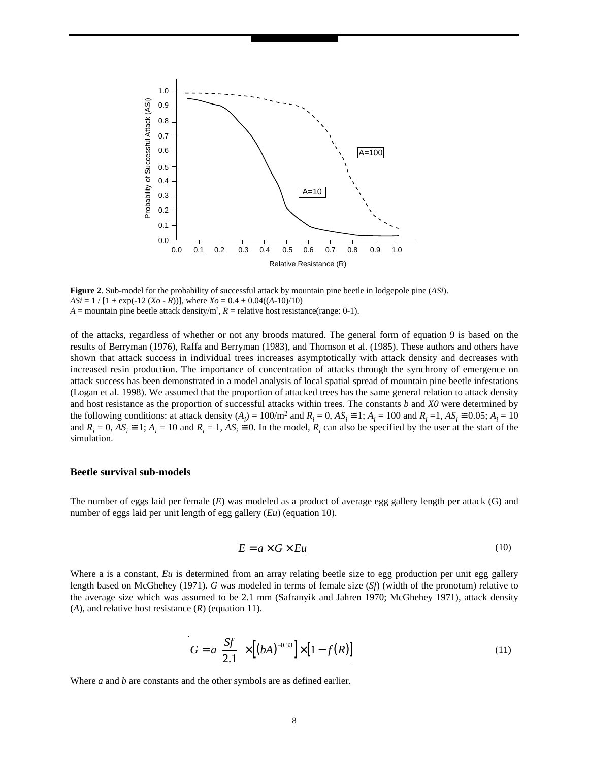

**Figure 2**. Sub-model for the probability of successful attack by mountain pine beetle in lodgepole pine (*ASi*).  $ASi = 1 / [1 + \exp(-12 (Xo - R))]$ , where  $Xo = 0.4 + 0.04((A-10)/10)$  $A =$  mountain pine beetle attack density/m<sup>2</sup>,  $R =$  relative host resistance(range: 0-1).

of the attacks, regardless of whether or not any broods matured. The general form of equation 9 is based on the results of Berryman (1976), Raffa and Berryman (1983), and Thomson et al. (1985). These authors and others have shown that attack success in individual trees increases asymptotically with attack density and decreases with increased resin production. The importance of concentration of attacks through the synchrony of emergence on attack success has been demonstrated in a model analysis of local spatial spread of mountain pine beetle infestations (Logan et al. 1998). We assumed that the proportion of attacked trees has the same general relation to attack density and host resistance as the proportion of successful attacks within trees. The constants *b* and *X0* were determined by the following conditions: at attack density  $(A_i) = 100/m^2$  and  $R_i = 0$ ,  $AS_i \cong 1$ ;  $A_i = 100$  and  $R_i = 1$ ,  $AS_i \cong 0.05$ ;  $A_i = 10$ and  $R_i = 0$ ,  $AS_i \equiv 1$ ;  $A_i = 10$  and  $R_i = 1$ ,  $AS_i \equiv 0$ . In the model,  $R_i$  can also be specified by the user at the start of the simulation.

#### **Beetle survival sub-models**

The number of eggs laid per female (*E*) was modeled as a product of average egg gallery length per attack (G) and number of eggs laid per unit length of egg gallery (*Eu*) (equation 10).

$$
E = a \times G \times Eu \tag{10}
$$

Where a is a constant, *Eu* is determined from an array relating beetle size to egg production per unit egg gallery length based on McGhehey (1971). *G* was modeled in terms of female size (*Sf*) (width of the pronotum) relative to the average size which was assumed to be 2.1 mm (Safranyik and Jahren 1970; McGhehey 1971), attack density (*A*), and relative host resistance (*R*) (equation 11).

$$
G = a \left[ \frac{Sf}{2.1} \right] \times \left[ \left( bA \right)^{-0.33} \right] \times \left[ 1 - f(R) \right] \tag{11}
$$

Where *a* and *b* are constants and the other symbols are as defined earlier.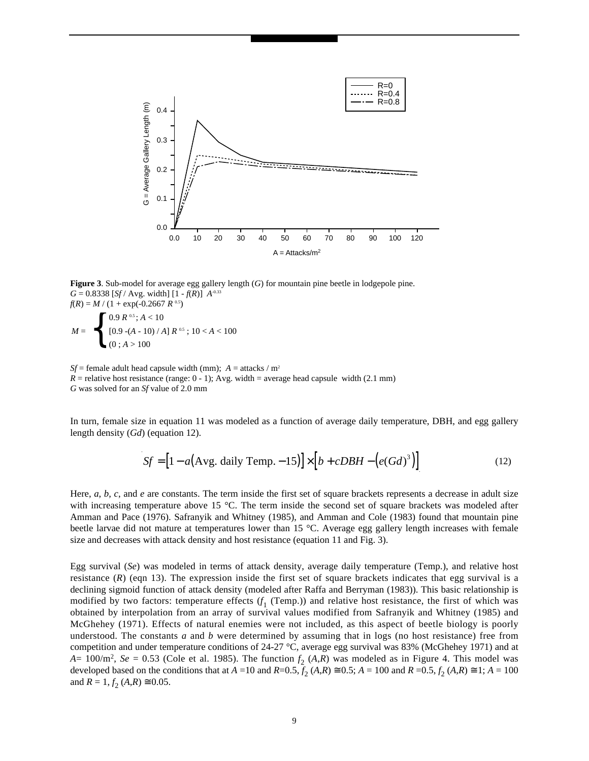

**Figure 3**. Sub-model for average egg gallery length (*G*) for mountain pine beetle in lodgepole pine.  $G = 0.8338$  [*Sf* / Avg. width]  $[1 - f(R)]$  *A*<sup>-0.33</sup>  $f(R) = M / (1 + \exp(-0.2667 R^{0.5}))$ 

$$
M = \left\{ \begin{array}{ll} 0.9 \ R \text{ o.s.} ; A < 10 \\ \left[ 0.9 - (A - 10) / A \right] R \text{ o.s.} ; 10 < A < 100 \\ (0 \ ; A > 100 \end{array} \right.
$$

*Sf* = female adult head capsule width (mm);  $A = \text{attacks} / \text{m}^2$  $R$  = relative host resistance (range: 0 - 1); Avg. width = average head capsule width (2.1 mm) *G* was solved for an *Sf* value of 2.0 mm

In turn, female size in equation 11 was modeled as a function of average daily temperature, DBH, and egg gallery length density (*Gd*) (equation 12).

$$
Sf = [1 - a(\text{Avg. daily Temp.} - 15)] \times [b + cDBH - (e(Gd)^{3})]
$$
\n(12)

Here, *a*, *b*, *c*, and *e* are constants. The term inside the first set of square brackets represents a decrease in adult size with increasing temperature above 15 °C. The term inside the second set of square brackets was modeled after Amman and Pace (1976). Safranyik and Whitney (1985), and Amman and Cole (1983) found that mountain pine beetle larvae did not mature at temperatures lower than 15 °C. Average egg gallery length increases with female size and decreases with attack density and host resistance (equation 11 and Fig. 3).

Egg survival (*Se*) was modeled in terms of attack density, average daily temperature (Temp.), and relative host resistance  $(R)$  (eqn 13). The expression inside the first set of square brackets indicates that egg survival is a declining sigmoid function of attack density (modeled after Raffa and Berryman (1983)). This basic relationship is modified by two factors: temperature effects (*f* <sup>1</sup> (Temp.)) and relative host resistance, the first of which was obtained by interpolation from an array of survival values modified from Safranyik and Whitney (1985) and McGhehey (1971). Effects of natural enemies were not included, as this aspect of beetle biology is poorly understood. The constants *a* and *b* were determined by assuming that in logs (no host resistance) free from competition and under temperature conditions of 24-27 °C, average egg survival was 83% (McGhehey 1971) and at *A*=  $100/m^2$ , *Se* = 0.53 (Cole et al. 1985). The function  $f_2(A,R)$  was modeled as in Figure 4. This model was developed based on the conditions that at  $A = 10$  and  $R=0.5$ ,  $f_2(A,R) \approx 0.5$ ;  $A = 100$  and  $R = 0.5$ ,  $f_2(A,R) \approx 1$ ;  $A = 100$ and  $R = 1, f_2(A,R) \approx 0.05$ .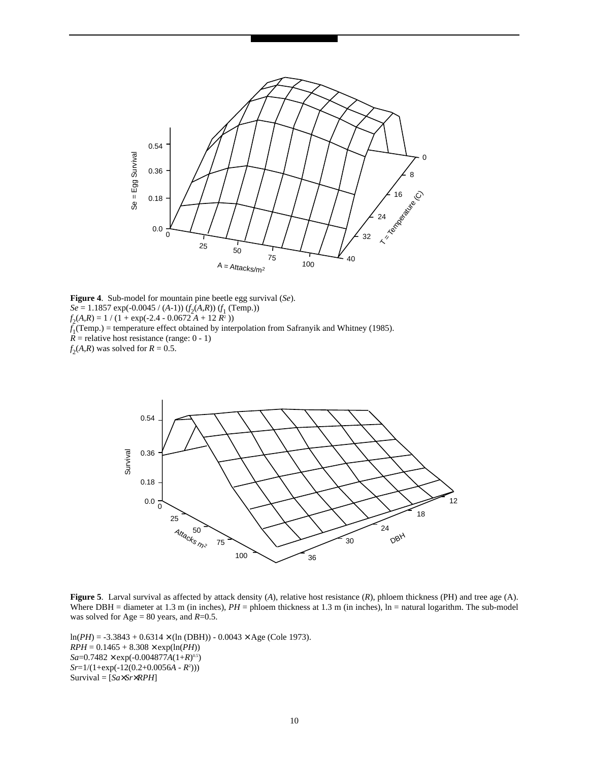

**Figure 4**. Sub-model for mountain pine beetle egg survival (*Se*). *Se* = 1.1857 exp(-0.0045 / (*A*-1)) (*f* 2(*A,R*)) (*f* <sup>1</sup> (Temp.))  $f_2(A,R) = 1 / (1 + \exp(-2.4 - 0.0672 A + 12 R^2))$ *f* 1(Temp.) = temperature effect obtained by interpolation from Safranyik and Whitney (1985).  $\overline{R}$  = relative host resistance (range: 0 - 1)  $f_2(A,R)$  was solved for  $R = 0.5$ .



**Figure 5**. Larval survival as affected by attack density (*A*), relative host resistance (*R*), phloem thickness (PH) and tree age (A). Where DBH = diameter at 1.3 m (in inches), *PH* = phloem thickness at 1.3 m (in inches), ln = natural logarithm. The sub-model was solved for Age = 80 years, and *R*=0.5.

 $ln(PH) = -3.3843 + 0.6314 \times (ln (DBH)) - 0.0043 \times Age (Cole 1973).$  $RPH = 0.1465 + 8.308 \times \exp(\ln(PH))$ *Sa*=0.7482 × exp(-0.004877*A*(1+*R*) 0.5) *Sr*=1/(1+exp(-12(0.2+0.0056*A* - *R*<sup>2</sup> ))) Survival = [*Sa*×*Sr*×*RPH*]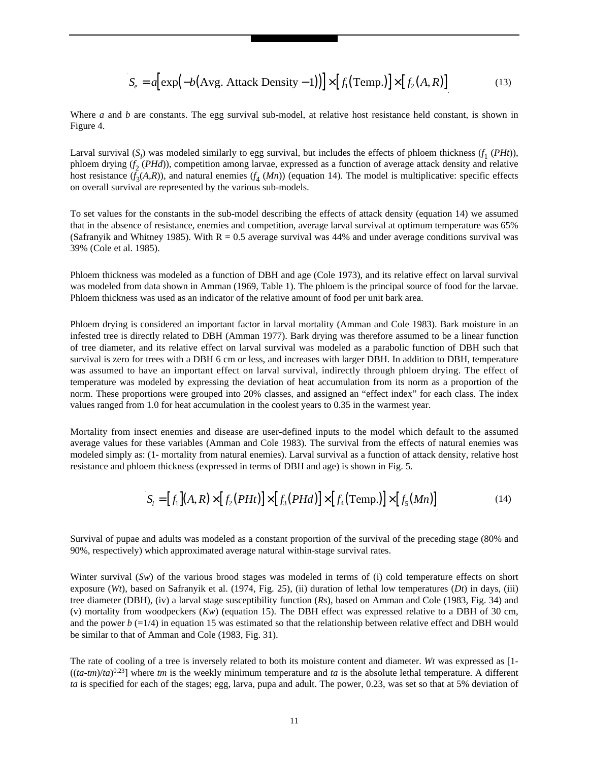$$
S_e = a \Big[ \exp\Big( -b \big( \text{Avg. Attack Density} - 1 \big) \Big) \Big] \times \Big[ f_1 \big( \text{Temp.} \big) \Big] \times \Big[ f_2 \big( A, R \big) \Big] \tag{13}
$$

Where *a* and *b* are constants. The egg survival sub-model, at relative host resistance held constant, is shown in Figure 4.

Larval survival  $(S_l)$  was modeled similarly to egg survival, but includes the effects of phloem thickness  $(f_1(PHt))$ , phloem drying (*f* <sup>2</sup> (*PHd*)), competition among larvae, expressed as a function of average attack density and relative host resistance  $(f_3(A,R))$ , and natural enemies  $(f_4(Mn))$  (equation 14). The model is multiplicative: specific effects on overall survival are represented by the various sub-models.

To set values for the constants in the sub-model describing the effects of attack density (equation 14) we assumed that in the absence of resistance, enemies and competition, average larval survival at optimum temperature was 65% (Safranyik and Whitney 1985). With  $R = 0.5$  average survival was 44% and under average conditions survival was 39% (Cole et al. 1985).

Phloem thickness was modeled as a function of DBH and age (Cole 1973), and its relative effect on larval survival was modeled from data shown in Amman (1969, Table 1). The phloem is the principal source of food for the larvae. Phloem thickness was used as an indicator of the relative amount of food per unit bark area.

Phloem drying is considered an important factor in larval mortality (Amman and Cole 1983). Bark moisture in an infested tree is directly related to DBH (Amman 1977). Bark drying was therefore assumed to be a linear function of tree diameter, and its relative effect on larval survival was modeled as a parabolic function of DBH such that survival is zero for trees with a DBH 6 cm or less, and increases with larger DBH. In addition to DBH, temperature was assumed to have an important effect on larval survival, indirectly through phloem drying. The effect of temperature was modeled by expressing the deviation of heat accumulation from its norm as a proportion of the norm. These proportions were grouped into 20% classes, and assigned an "effect index" for each class. The index values ranged from 1.0 for heat accumulation in the coolest years to 0.35 in the warmest year.

Mortality from insect enemies and disease are user-defined inputs to the model which default to the assumed average values for these variables (Amman and Cole 1983). The survival from the effects of natural enemies was modeled simply as: (1- mortality from natural enemies). Larval survival as a function of attack density, relative host resistance and phloem thickness (expressed in terms of DBH and age) is shown in Fig. 5.

$$
S_i = [f_1](A, R) \times [f_2(PHt)] \times [f_3(PHd)] \times [f_4(Temp.)] \times [f_5(Mn)] \tag{14}
$$

Survival of pupae and adults was modeled as a constant proportion of the survival of the preceding stage (80% and 90%, respectively) which approximated average natural within-stage survival rates.

Winter survival (*Sw*) of the various brood stages was modeled in terms of (i) cold temperature effects on short exposure (*Wt*), based on Safranyik et al. (1974, Fig. 25), (ii) duration of lethal low temperatures (*Dt*) in days, (iii) tree diameter (DBH), (iv) a larval stage susceptibility function (*Rs*), based on Amman and Cole (1983, Fig. 34) and (v) mortality from woodpeckers (*Kw*) (equation 15). The DBH effect was expressed relative to a DBH of 30 cm, and the power  $b = 1/4$ ) in equation 15 was estimated so that the relationship between relative effect and DBH would be similar to that of Amman and Cole (1983, Fig. 31).

The rate of cooling of a tree is inversely related to both its moisture content and diameter. *Wt* was expressed as [1-  $((ta-m)/ta)^{0.23}]$  where *tm* is the weekly minimum temperature and *ta* is the absolute lethal temperature. A different *ta* is specified for each of the stages; egg, larva, pupa and adult. The power, 0.23, was set so that at 5% deviation of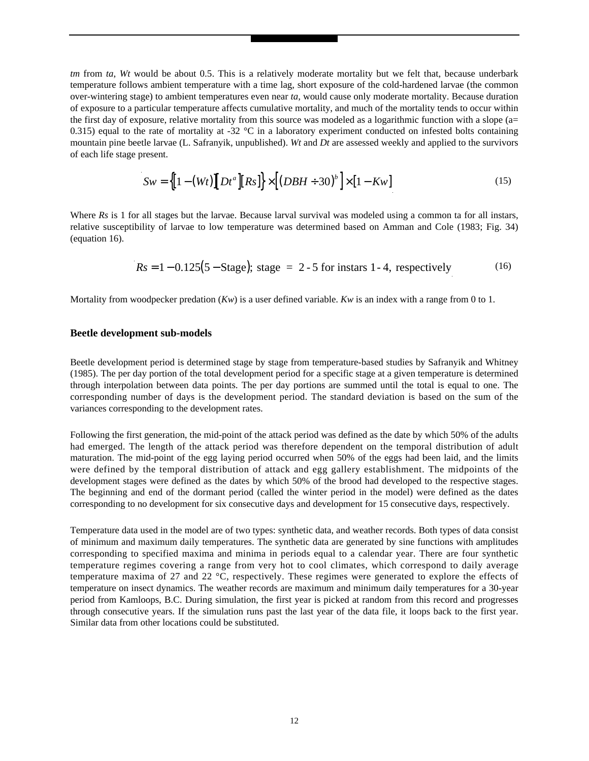*tm* from *ta*, *Wt* would be about 0.5. This is a relatively moderate mortality but we felt that, because underbark temperature follows ambient temperature with a time lag, short exposure of the cold-hardened larvae (the common over-wintering stage) to ambient temperatures even near *ta*, would cause only moderate mortality. Because duration of exposure to a particular temperature affects cumulative mortality, and much of the mortality tends to occur within the first day of exposure, relative mortality from this source was modeled as a logarithmic function with a slope ( $a=$ 0.315) equal to the rate of mortality at -32  $^{\circ}$ C in a laboratory experiment conducted on infested bolts containing mountain pine beetle larvae (L. Safranyik, unpublished). *Wt* and *Dt* are assessed weekly and applied to the survivors of each life stage present.

$$
Sw = \left\{ \left[1 - (Wt)\right] \left[Dt^a\right] \left[Rs\right] \right\} \times \left[ \left(DBH \div 30\right)^b \right] \times \left[1 - Kw\right] \tag{15}
$$

Where *Rs* is 1 for all stages but the larvae. Because larval survival was modeled using a common ta for all instars, relative susceptibility of larvae to low temperature was determined based on Amman and Cole (1983; Fig. 34) (equation 16).

$$
Rs = 1 - 0.125(5 - Stage); stage = 2 - 5 for instars 1 - 4, respectively
$$
 (16)

Mortality from woodpecker predation (*Kw*) is a user defined variable. *Kw* is an index with a range from 0 to 1.

#### **Beetle development sub-models**

Beetle development period is determined stage by stage from temperature-based studies by Safranyik and Whitney (1985). The per day portion of the total development period for a specific stage at a given temperature is determined through interpolation between data points. The per day portions are summed until the total is equal to one. The corresponding number of days is the development period. The standard deviation is based on the sum of the variances corresponding to the development rates.

Following the first generation, the mid-point of the attack period was defined as the date by which 50% of the adults had emerged. The length of the attack period was therefore dependent on the temporal distribution of adult maturation. The mid-point of the egg laying period occurred when 50% of the eggs had been laid, and the limits were defined by the temporal distribution of attack and egg gallery establishment. The midpoints of the development stages were defined as the dates by which 50% of the brood had developed to the respective stages. The beginning and end of the dormant period (called the winter period in the model) were defined as the dates corresponding to no development for six consecutive days and development for 15 consecutive days, respectively.

Temperature data used in the model are of two types: synthetic data, and weather records. Both types of data consist of minimum and maximum daily temperatures. The synthetic data are generated by sine functions with amplitudes corresponding to specified maxima and minima in periods equal to a calendar year. There are four synthetic temperature regimes covering a range from very hot to cool climates, which correspond to daily average temperature maxima of 27 and 22 °C, respectively. These regimes were generated to explore the effects of temperature on insect dynamics. The weather records are maximum and minimum daily temperatures for a 30-year period from Kamloops, B.C. During simulation, the first year is picked at random from this record and progresses through consecutive years. If the simulation runs past the last year of the data file, it loops back to the first year. Similar data from other locations could be substituted.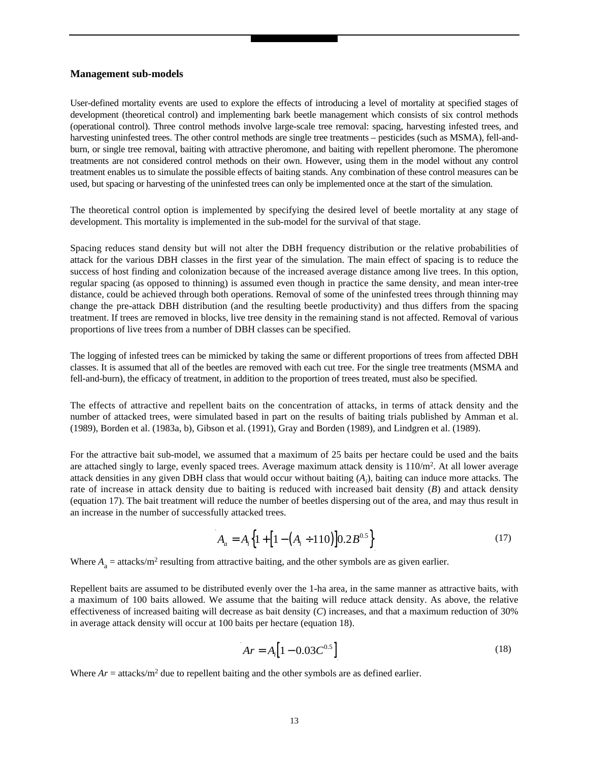#### **Management sub-models**

User-defined mortality events are used to explore the effects of introducing a level of mortality at specified stages of development (theoretical control) and implementing bark beetle management which consists of six control methods (operational control). Three control methods involve large-scale tree removal: spacing, harvesting infested trees, and harvesting uninfested trees. The other control methods are single tree treatments – pesticides (such as MSMA), fell-andburn, or single tree removal, baiting with attractive pheromone, and baiting with repellent pheromone. The pheromone treatments are not considered control methods on their own. However, using them in the model without any control treatment enables us to simulate the possible effects of baiting stands. Any combination of these control measures can be used, but spacing or harvesting of the uninfested trees can only be implemented once at the start of the simulation.

The theoretical control option is implemented by specifying the desired level of beetle mortality at any stage of development. This mortality is implemented in the sub-model for the survival of that stage.

Spacing reduces stand density but will not alter the DBH frequency distribution or the relative probabilities of attack for the various DBH classes in the first year of the simulation. The main effect of spacing is to reduce the success of host finding and colonization because of the increased average distance among live trees. In this option, regular spacing (as opposed to thinning) is assumed even though in practice the same density, and mean inter-tree distance, could be achieved through both operations. Removal of some of the uninfested trees through thinning may change the pre-attack DBH distribution (and the resulting beetle productivity) and thus differs from the spacing treatment. If trees are removed in blocks, live tree density in the remaining stand is not affected. Removal of various proportions of live trees from a number of DBH classes can be specified.

The logging of infested trees can be mimicked by taking the same or different proportions of trees from affected DBH classes. It is assumed that all of the beetles are removed with each cut tree. For the single tree treatments (MSMA and fell-and-burn), the efficacy of treatment, in addition to the proportion of trees treated, must also be specified.

The effects of attractive and repellent baits on the concentration of attacks, in terms of attack density and the number of attacked trees, were simulated based in part on the results of baiting trials published by Amman et al. (1989), Borden et al. (1983a, b), Gibson et al. (1991), Gray and Borden (1989), and Lindgren et al. (1989).

For the attractive bait sub-model, we assumed that a maximum of 25 baits per hectare could be used and the baits are attached singly to large, evenly spaced trees. Average maximum attack density is  $110/m<sup>2</sup>$ . At all lower average attack densities in any given DBH class that would occur without baiting (*Ai* ), baiting can induce more attacks. The rate of increase in attack density due to baiting is reduced with increased bait density (*B*) and attack density (equation 17). The bait treatment will reduce the number of beetles dispersing out of the area, and may thus result in an increase in the number of successfully attacked trees.

$$
A_a = A_i \left\{ 1 + \left[ 1 - \left( A_i \div 110 \right) \right] 0.2 B^{0.5} \right\} \tag{17}
$$

Where  $A_a$  = attacks/m<sup>2</sup> resulting from attractive baiting, and the other symbols are as given earlier.

Repellent baits are assumed to be distributed evenly over the 1-ha area, in the same manner as attractive baits, with a maximum of 100 baits allowed. We assume that the baiting will reduce attack density. As above, the relative effectiveness of increased baiting will decrease as bait density (*C*) increases, and that a maximum reduction of 30% in average attack density will occur at 100 baits per hectare (equation 18).

$$
Ar = A_i \left[ 1 - 0.03 C^{0.5} \right] \tag{18}
$$

Where  $Ar = \text{attacks/m}^2$  due to repellent baiting and the other symbols are as defined earlier.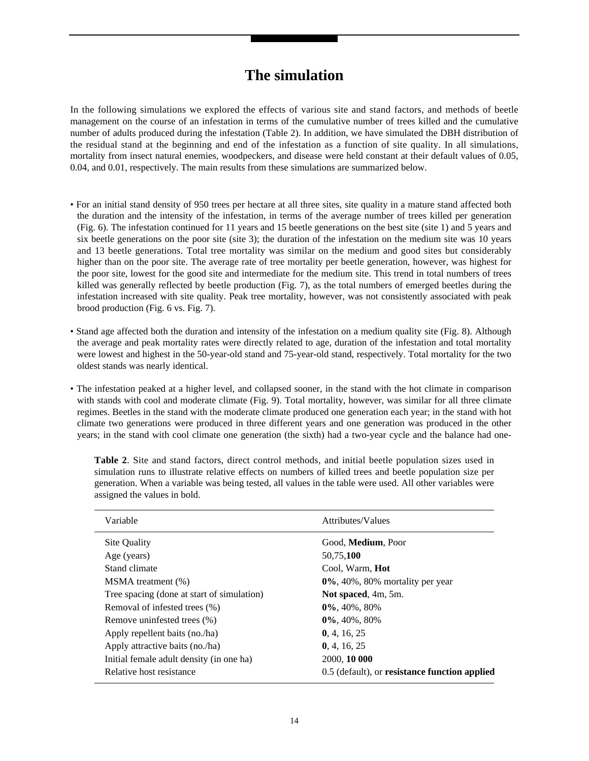### **The simulation**

In the following simulations we explored the effects of various site and stand factors, and methods of beetle management on the course of an infestation in terms of the cumulative number of trees killed and the cumulative number of adults produced during the infestation (Table 2). In addition, we have simulated the DBH distribution of the residual stand at the beginning and end of the infestation as a function of site quality. In all simulations, mortality from insect natural enemies, woodpeckers, and disease were held constant at their default values of 0.05, 0.04, and 0.01, respectively. The main results from these simulations are summarized below.

- For an initial stand density of 950 trees per hectare at all three sites, site quality in a mature stand affected both the duration and the intensity of the infestation, in terms of the average number of trees killed per generation (Fig. 6). The infestation continued for 11 years and 15 beetle generations on the best site (site 1) and 5 years and six beetle generations on the poor site (site 3); the duration of the infestation on the medium site was 10 years and 13 beetle generations. Total tree mortality was similar on the medium and good sites but considerably higher than on the poor site. The average rate of tree mortality per beetle generation, however, was highest for the poor site, lowest for the good site and intermediate for the medium site. This trend in total numbers of trees killed was generally reflected by beetle production (Fig. 7), as the total numbers of emerged beetles during the infestation increased with site quality. Peak tree mortality, however, was not consistently associated with peak brood production (Fig. 6 vs. Fig. 7).
- Stand age affected both the duration and intensity of the infestation on a medium quality site (Fig. 8). Although the average and peak mortality rates were directly related to age, duration of the infestation and total mortality were lowest and highest in the 50-year-old stand and 75-year-old stand, respectively. Total mortality for the two oldest stands was nearly identical.
- The infestation peaked at a higher level, and collapsed sooner, in the stand with the hot climate in comparison with stands with cool and moderate climate (Fig. 9). Total mortality, however, was similar for all three climate regimes. Beetles in the stand with the moderate climate produced one generation each year; in the stand with hot climate two generations were produced in three different years and one generation was produced in the other years; in the stand with cool climate one generation (the sixth) had a two-year cycle and the balance had one-

| Table 2. Site and stand factors, direct control methods, and initial beetle population sizes used in      |
|-----------------------------------------------------------------------------------------------------------|
| simulation runs to illustrate relative effects on numbers of killed trees and beetle population size per  |
| generation. When a variable was being tested, all values in the table were used. All other variables were |
| assigned the values in bold.                                                                              |

| Variable                                   | Attributes/Values                             |
|--------------------------------------------|-----------------------------------------------|
| Site Quality                               | Good, <b>Medium</b> , Poor                    |
| Age (years)                                | 50,75,100                                     |
| Stand climate                              | Cool, Warm, <b>Hot</b>                        |
| MSMA treatment (%)                         | $0\%$ , 40%, 80% mortality per year           |
| Tree spacing (done at start of simulation) | Not spaced, 4m, 5m.                           |
| Removal of infested trees (%)              | $0\%, 40\%, 80\%$                             |
| Remove uninfested trees (%)                | $0\%$ , 40%, 80%                              |
| Apply repellent baits (no./ha)             | 0, 4, 16, 25                                  |
| Apply attractive baits (no./ha)            | 0, 4, 16, 25                                  |
| Initial female adult density (in one ha)   | 2000, 10 000                                  |
| Relative host resistance                   | 0.5 (default), or resistance function applied |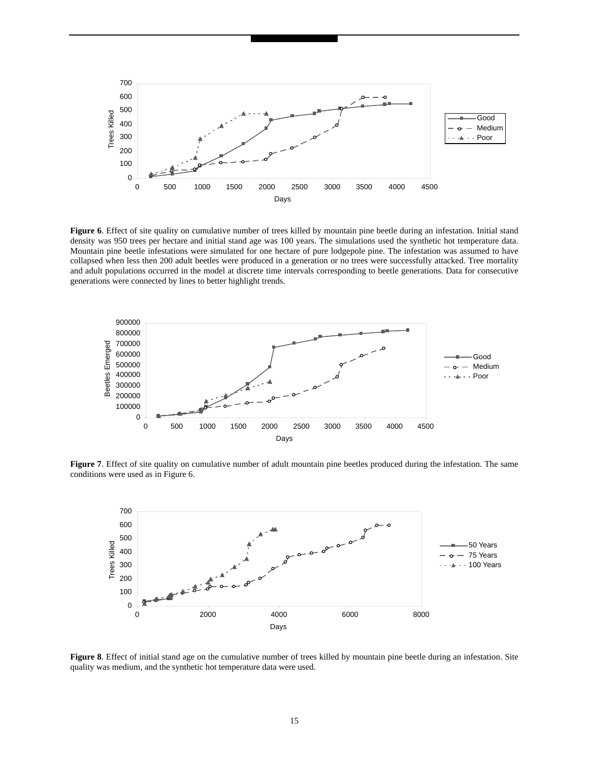

**Figure 6**. Effect of site quality on cumulative number of trees killed by mountain pine beetle during an infestation. Initial stand density was 950 trees per hectare and initial stand age was 100 years. The simulations used the synthetic hot temperature data. Mountain pine beetle infestations were simulated for one hectare of pure lodgepole pine. The infestation was assumed to have collapsed when less then 200 adult beetles were produced in a generation or no trees were successfully attacked. Tree mortality and adult populations occurred in the model at discrete time intervals corresponding to beetle generations. Data for consecutive generations were connected by lines to better highlight trends.



**Figure 7**. Effect of site quality on cumulative number of adult mountain pine beetles produced during the infestation. The same conditions were used as in Figure 6.



**Figure 8**. Effect of initial stand age on the cumulative number of trees killed by mountain pine beetle during an infestation. Site quality was medium, and the synthetic hot temperature data were used.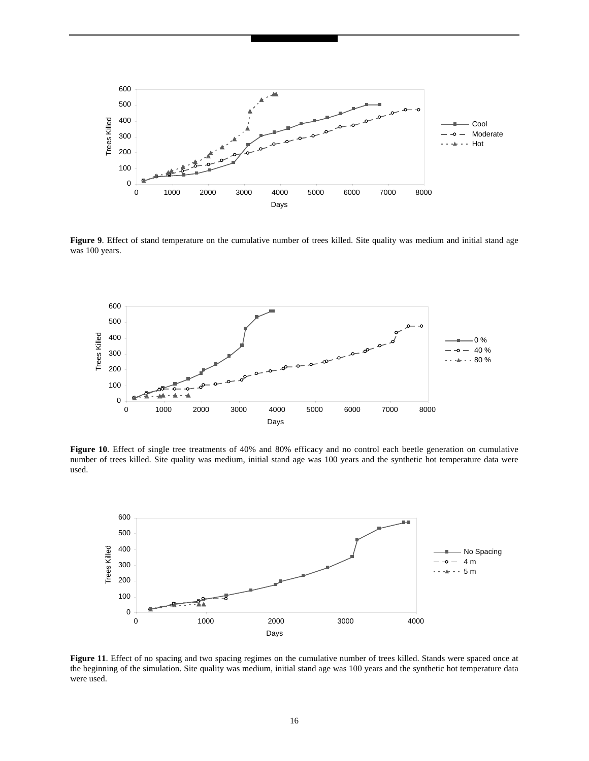

Figure 9. Effect of stand temperature on the cumulative number of trees killed. Site quality was medium and initial stand age was 100 years.



**Figure 10**. Effect of single tree treatments of 40% and 80% efficacy and no control each beetle generation on cumulative number of trees killed. Site quality was medium, initial stand age was 100 years and the synthetic hot temperature data were used.



**Figure 11**. Effect of no spacing and two spacing regimes on the cumulative number of trees killed. Stands were spaced once at the beginning of the simulation. Site quality was medium, initial stand age was 100 years and the synthetic hot temperature data were used.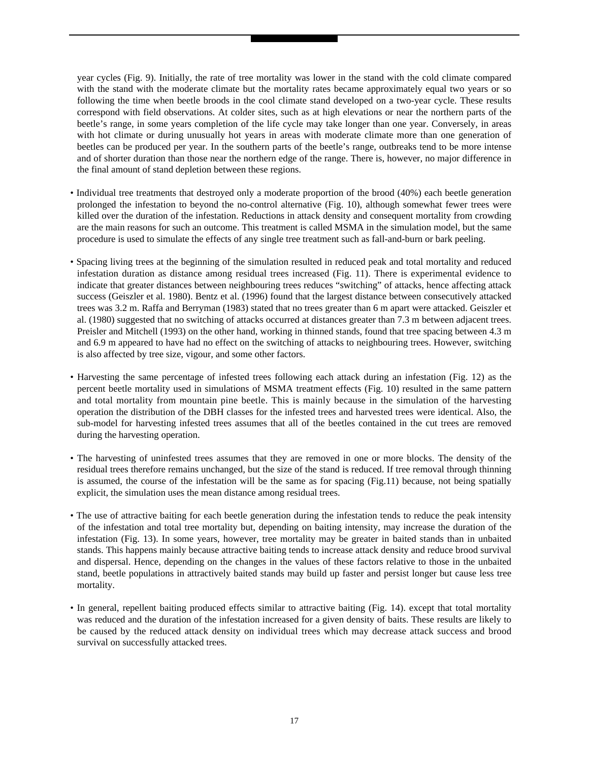year cycles (Fig. 9). Initially, the rate of tree mortality was lower in the stand with the cold climate compared with the stand with the moderate climate but the mortality rates became approximately equal two years or so following the time when beetle broods in the cool climate stand developed on a two-year cycle. These results correspond with field observations. At colder sites, such as at high elevations or near the northern parts of the beetle's range, in some years completion of the life cycle may take longer than one year. Conversely, in areas with hot climate or during unusually hot years in areas with moderate climate more than one generation of beetles can be produced per year. In the southern parts of the beetle's range, outbreaks tend to be more intense and of shorter duration than those near the northern edge of the range. There is, however, no major difference in the final amount of stand depletion between these regions.

- Individual tree treatments that destroyed only a moderate proportion of the brood (40%) each beetle generation prolonged the infestation to beyond the no-control alternative (Fig. 10), although somewhat fewer trees were killed over the duration of the infestation. Reductions in attack density and consequent mortality from crowding are the main reasons for such an outcome. This treatment is called MSMA in the simulation model, but the same procedure is used to simulate the effects of any single tree treatment such as fall-and-burn or bark peeling.
- Spacing living trees at the beginning of the simulation resulted in reduced peak and total mortality and reduced infestation duration as distance among residual trees increased (Fig. 11). There is experimental evidence to indicate that greater distances between neighbouring trees reduces "switching" of attacks, hence affecting attack success (Geiszler et al. 1980). Bentz et al. (1996) found that the largest distance between consecutively attacked trees was 3.2 m. Raffa and Berryman (1983) stated that no trees greater than 6 m apart were attacked. Geiszler et al. (1980) suggested that no switching of attacks occurred at distances greater than 7.3 m between adjacent trees. Preisler and Mitchell (1993) on the other hand, working in thinned stands, found that tree spacing between 4.3 m and 6.9 m appeared to have had no effect on the switching of attacks to neighbouring trees. However, switching is also affected by tree size, vigour, and some other factors.
- Harvesting the same percentage of infested trees following each attack during an infestation (Fig. 12) as the percent beetle mortality used in simulations of MSMA treatment effects (Fig. 10) resulted in the same pattern and total mortality from mountain pine beetle. This is mainly because in the simulation of the harvesting operation the distribution of the DBH classes for the infested trees and harvested trees were identical. Also, the sub-model for harvesting infested trees assumes that all of the beetles contained in the cut trees are removed during the harvesting operation.
- The harvesting of uninfested trees assumes that they are removed in one or more blocks. The density of the residual trees therefore remains unchanged, but the size of the stand is reduced. If tree removal through thinning is assumed, the course of the infestation will be the same as for spacing (Fig.11) because, not being spatially explicit, the simulation uses the mean distance among residual trees.
- The use of attractive baiting for each beetle generation during the infestation tends to reduce the peak intensity of the infestation and total tree mortality but, depending on baiting intensity, may increase the duration of the infestation (Fig. 13). In some years, however, tree mortality may be greater in baited stands than in unbaited stands. This happens mainly because attractive baiting tends to increase attack density and reduce brood survival and dispersal. Hence, depending on the changes in the values of these factors relative to those in the unbaited stand, beetle populations in attractively baited stands may build up faster and persist longer but cause less tree mortality.
- In general, repellent baiting produced effects similar to attractive baiting (Fig. 14). except that total mortality was reduced and the duration of the infestation increased for a given density of baits. These results are likely to be caused by the reduced attack density on individual trees which may decrease attack success and brood survival on successfully attacked trees.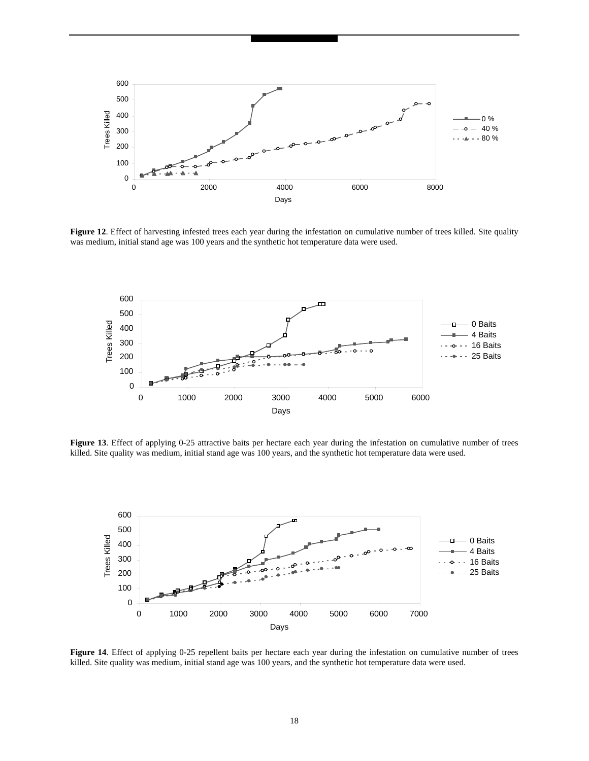

**Figure 12**. Effect of harvesting infested trees each year during the infestation on cumulative number of trees killed. Site quality was medium, initial stand age was 100 years and the synthetic hot temperature data were used.



Figure 13. Effect of applying 0-25 attractive baits per hectare each year during the infestation on cumulative number of trees killed. Site quality was medium, initial stand age was 100 years, and the synthetic hot temperature data were used.



Figure 14. Effect of applying 0-25 repellent baits per hectare each year during the infestation on cumulative number of trees killed. Site quality was medium, initial stand age was 100 years, and the synthetic hot temperature data were used.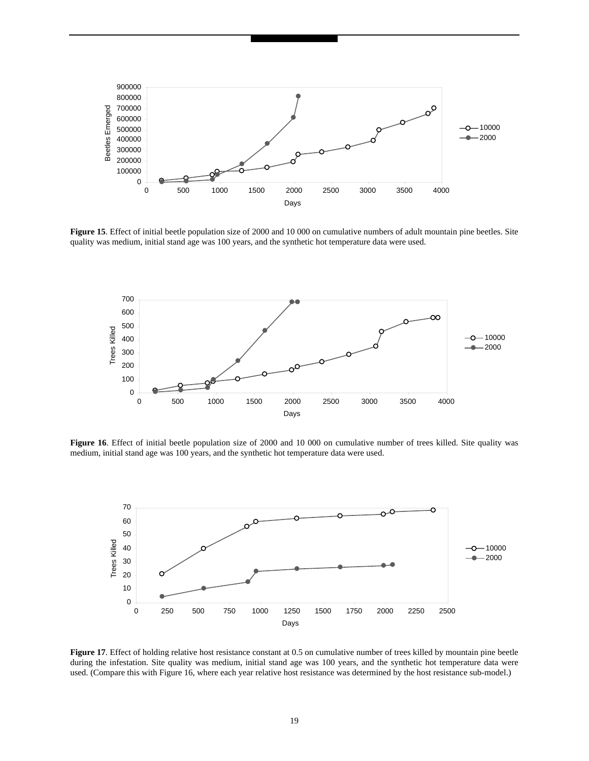

**Figure 15**. Effect of initial beetle population size of 2000 and 10 000 on cumulative numbers of adult mountain pine beetles. Site quality was medium, initial stand age was 100 years, and the synthetic hot temperature data were used.



**Figure 16**. Effect of initial beetle population size of 2000 and 10 000 on cumulative number of trees killed. Site quality was medium, initial stand age was 100 years, and the synthetic hot temperature data were used.



**Figure 17.** Effect of holding relative host resistance constant at 0.5 on cumulative number of trees killed by mountain pine beetle during the infestation. Site quality was medium, initial stand age was 100 years, and the synthetic hot temperature data were used. (Compare this with Figure 16, where each year relative host resistance was determined by the host resistance sub-model.)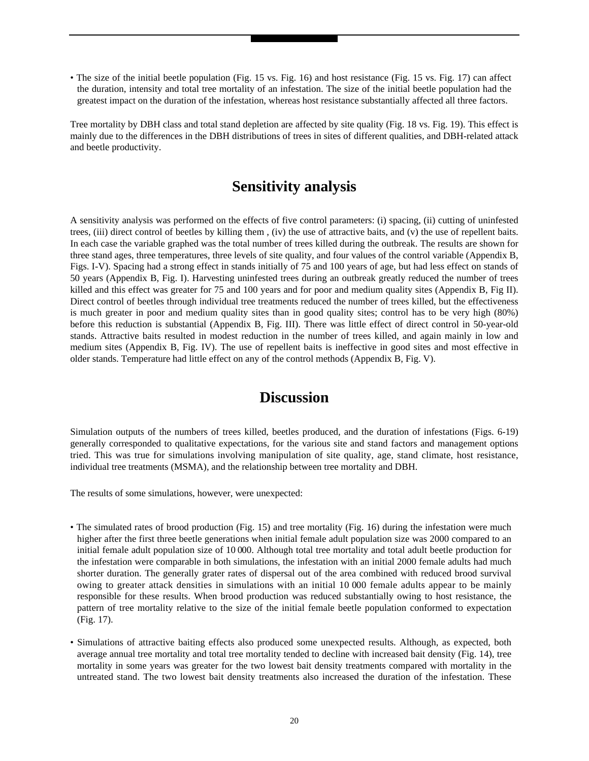• The size of the initial beetle population (Fig. 15 vs. Fig. 16) and host resistance (Fig. 15 vs. Fig. 17) can affect the duration, intensity and total tree mortality of an infestation. The size of the initial beetle population had the greatest impact on the duration of the infestation, whereas host resistance substantially affected all three factors.

Tree mortality by DBH class and total stand depletion are affected by site quality (Fig. 18 vs. Fig. 19). This effect is mainly due to the differences in the DBH distributions of trees in sites of different qualities, and DBH-related attack and beetle productivity.

### **Sensitivity analysis**

A sensitivity analysis was performed on the effects of five control parameters: (i) spacing, (ii) cutting of uninfested trees, (iii) direct control of beetles by killing them , (iv) the use of attractive baits, and (v) the use of repellent baits. In each case the variable graphed was the total number of trees killed during the outbreak. The results are shown for three stand ages, three temperatures, three levels of site quality, and four values of the control variable (Appendix B, Figs. I-V). Spacing had a strong effect in stands initially of 75 and 100 years of age, but had less effect on stands of 50 years (Appendix B, Fig. I). Harvesting uninfested trees during an outbreak greatly reduced the number of trees killed and this effect was greater for 75 and 100 years and for poor and medium quality sites (Appendix B, Fig II). Direct control of beetles through individual tree treatments reduced the number of trees killed, but the effectiveness is much greater in poor and medium quality sites than in good quality sites; control has to be very high (80%) before this reduction is substantial (Appendix B, Fig. III). There was little effect of direct control in 50-year-old stands. Attractive baits resulted in modest reduction in the number of trees killed, and again mainly in low and medium sites (Appendix B, Fig. IV). The use of repellent baits is ineffective in good sites and most effective in older stands. Temperature had little effect on any of the control methods (Appendix B, Fig. V).

### **Discussion**

Simulation outputs of the numbers of trees killed, beetles produced, and the duration of infestations (Figs. 6-19) generally corresponded to qualitative expectations, for the various site and stand factors and management options tried. This was true for simulations involving manipulation of site quality, age, stand climate, host resistance, individual tree treatments (MSMA), and the relationship between tree mortality and DBH.

The results of some simulations, however, were unexpected:

- The simulated rates of brood production (Fig. 15) and tree mortality (Fig. 16) during the infestation were much higher after the first three beetle generations when initial female adult population size was 2000 compared to an initial female adult population size of 10 000. Although total tree mortality and total adult beetle production for the infestation were comparable in both simulations, the infestation with an initial 2000 female adults had much shorter duration. The generally grater rates of dispersal out of the area combined with reduced brood survival owing to greater attack densities in simulations with an initial 10 000 female adults appear to be mainly responsible for these results. When brood production was reduced substantially owing to host resistance, the pattern of tree mortality relative to the size of the initial female beetle population conformed to expectation (Fig. 17).
- Simulations of attractive baiting effects also produced some unexpected results. Although, as expected, both average annual tree mortality and total tree mortality tended to decline with increased bait density (Fig. 14), tree mortality in some years was greater for the two lowest bait density treatments compared with mortality in the untreated stand. The two lowest bait density treatments also increased the duration of the infestation. These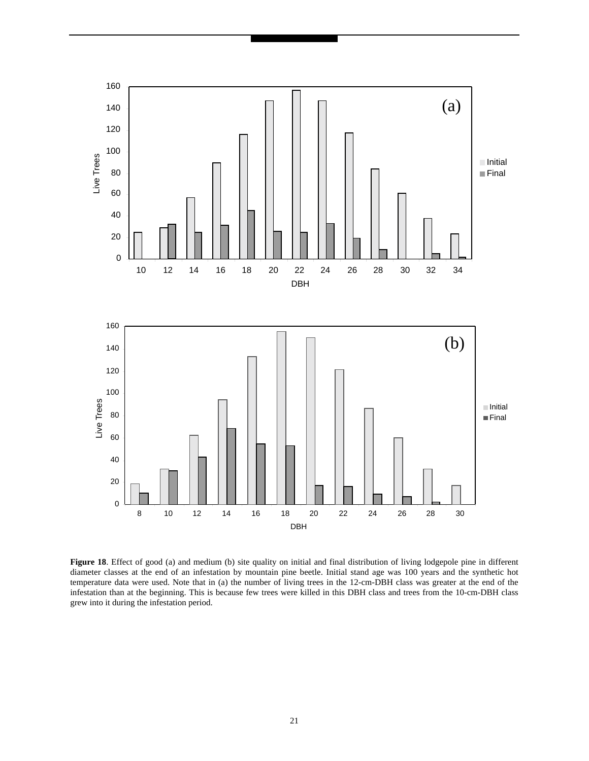

Figure 18. Effect of good (a) and medium (b) site quality on initial and final distribution of living lodgepole pine in different diameter classes at the end of an infestation by mountain pine beetle. Initial stand age was 100 years and the synthetic hot temperature data were used. Note that in (a) the number of living trees in the 12-cm-DBH class was greater at the end of the infestation than at the beginning. This is because few trees were killed in this DBH class and trees from the 10-cm-DBH class grew into it during the infestation period.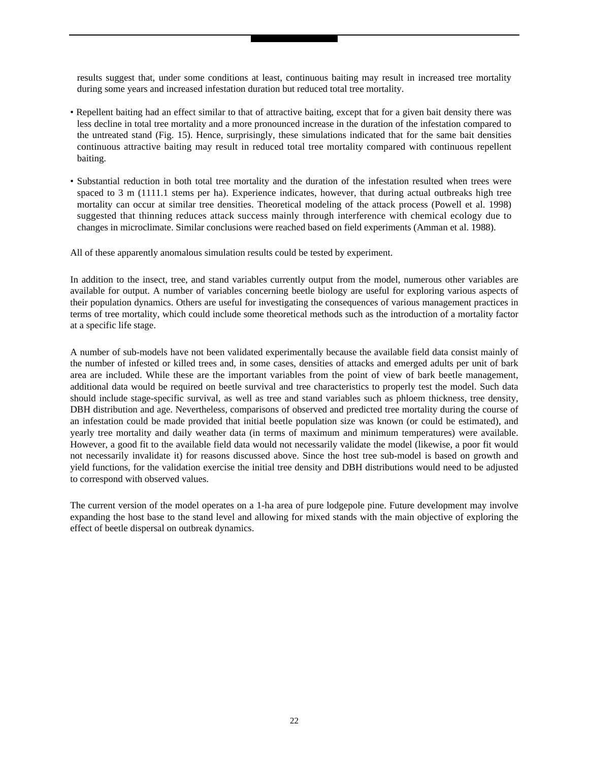results suggest that, under some conditions at least, continuous baiting may result in increased tree mortality during some years and increased infestation duration but reduced total tree mortality.

- Repellent baiting had an effect similar to that of attractive baiting, except that for a given bait density there was less decline in total tree mortality and a more pronounced increase in the duration of the infestation compared to the untreated stand (Fig. 15). Hence, surprisingly, these simulations indicated that for the same bait densities continuous attractive baiting may result in reduced total tree mortality compared with continuous repellent baiting.
- Substantial reduction in both total tree mortality and the duration of the infestation resulted when trees were spaced to 3 m (1111.1 stems per ha). Experience indicates, however, that during actual outbreaks high tree mortality can occur at similar tree densities. Theoretical modeling of the attack process (Powell et al. 1998) suggested that thinning reduces attack success mainly through interference with chemical ecology due to changes in microclimate. Similar conclusions were reached based on field experiments (Amman et al. 1988).

All of these apparently anomalous simulation results could be tested by experiment.

In addition to the insect, tree, and stand variables currently output from the model, numerous other variables are available for output. A number of variables concerning beetle biology are useful for exploring various aspects of their population dynamics. Others are useful for investigating the consequences of various management practices in terms of tree mortality, which could include some theoretical methods such as the introduction of a mortality factor at a specific life stage.

A number of sub-models have not been validated experimentally because the available field data consist mainly of the number of infested or killed trees and, in some cases, densities of attacks and emerged adults per unit of bark area are included. While these are the important variables from the point of view of bark beetle management, additional data would be required on beetle survival and tree characteristics to properly test the model. Such data should include stage-specific survival, as well as tree and stand variables such as phloem thickness, tree density, DBH distribution and age. Nevertheless, comparisons of observed and predicted tree mortality during the course of an infestation could be made provided that initial beetle population size was known (or could be estimated), and yearly tree mortality and daily weather data (in terms of maximum and minimum temperatures) were available. However, a good fit to the available field data would not necessarily validate the model (likewise, a poor fit would not necessarily invalidate it) for reasons discussed above. Since the host tree sub-model is based on growth and yield functions, for the validation exercise the initial tree density and DBH distributions would need to be adjusted to correspond with observed values.

The current version of the model operates on a 1-ha area of pure lodgepole pine. Future development may involve expanding the host base to the stand level and allowing for mixed stands with the main objective of exploring the effect of beetle dispersal on outbreak dynamics.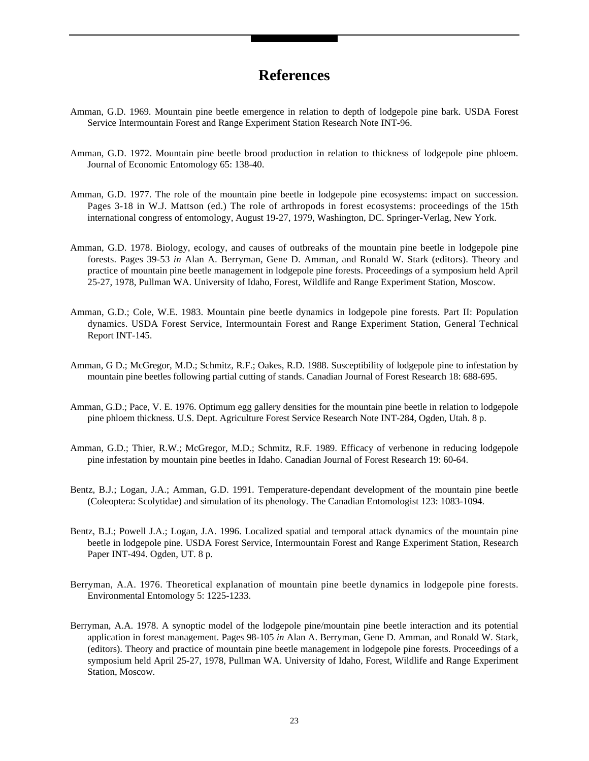### **References**

- Amman, G.D. 1969. Mountain pine beetle emergence in relation to depth of lodgepole pine bark. USDA Forest Service Intermountain Forest and Range Experiment Station Research Note INT-96.
- Amman, G.D. 1972. Mountain pine beetle brood production in relation to thickness of lodgepole pine phloem. Journal of Economic Entomology 65: 138-40.
- Amman, G.D. 1977. The role of the mountain pine beetle in lodgepole pine ecosystems: impact on succession. Pages 3-18 in W.J. Mattson (ed.) The role of arthropods in forest ecosystems: proceedings of the 15th international congress of entomology, August 19-27, 1979, Washington, DC. Springer-Verlag, New York.
- Amman, G.D. 1978. Biology, ecology, and causes of outbreaks of the mountain pine beetle in lodgepole pine forests. Pages 39-53 *in* Alan A. Berryman, Gene D. Amman, and Ronald W. Stark (editors). Theory and practice of mountain pine beetle management in lodgepole pine forests. Proceedings of a symposium held April 25-27, 1978, Pullman WA. University of Idaho, Forest, Wildlife and Range Experiment Station, Moscow.
- Amman, G.D.; Cole, W.E. 1983. Mountain pine beetle dynamics in lodgepole pine forests. Part II: Population dynamics. USDA Forest Service, Intermountain Forest and Range Experiment Station, General Technical Report INT-145.
- Amman, G D.; McGregor, M.D.; Schmitz, R.F.; Oakes, R.D. 1988. Susceptibility of lodgepole pine to infestation by mountain pine beetles following partial cutting of stands. Canadian Journal of Forest Research 18: 688-695.
- Amman, G.D.; Pace, V. E. 1976. Optimum egg gallery densities for the mountain pine beetle in relation to lodgepole pine phloem thickness. U.S. Dept. Agriculture Forest Service Research Note INT-284, Ogden, Utah. 8 p.
- Amman, G.D.; Thier, R.W.; McGregor, M.D.; Schmitz, R.F. 1989. Efficacy of verbenone in reducing lodgepole pine infestation by mountain pine beetles in Idaho. Canadian Journal of Forest Research 19: 60-64.
- Bentz, B.J.; Logan, J.A.; Amman, G.D. 1991. Temperature-dependant development of the mountain pine beetle (Coleoptera: Scolytidae) and simulation of its phenology. The Canadian Entomologist 123: 1083-1094.
- Bentz, B.J.; Powell J.A.; Logan, J.A. 1996. Localized spatial and temporal attack dynamics of the mountain pine beetle in lodgepole pine. USDA Forest Service, Intermountain Forest and Range Experiment Station, Research Paper INT-494. Ogden, UT. 8 p.
- Berryman, A.A. 1976. Theoretical explanation of mountain pine beetle dynamics in lodgepole pine forests. Environmental Entomology 5: 1225-1233.
- Berryman, A.A. 1978. A synoptic model of the lodgepole pine/mountain pine beetle interaction and its potential application in forest management. Pages 98-105 *in* Alan A. Berryman, Gene D. Amman, and Ronald W. Stark, (editors). Theory and practice of mountain pine beetle management in lodgepole pine forests. Proceedings of a symposium held April 25-27, 1978, Pullman WA. University of Idaho, Forest, Wildlife and Range Experiment Station, Moscow.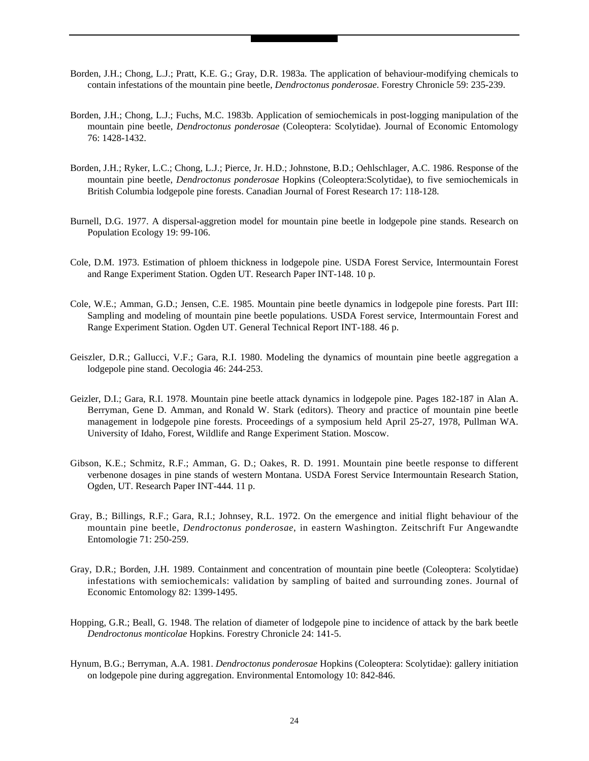- Borden, J.H.; Chong, L.J.; Pratt, K.E. G.; Gray, D.R. 1983a. The application of behaviour-modifying chemicals to contain infestations of the mountain pine beetle, *Dendroctonus ponderosae*. Forestry Chronicle 59: 235-239.
- Borden, J.H.; Chong, L.J.; Fuchs, M.C. 1983b. Application of semiochemicals in post-logging manipulation of the mountain pine beetle, *Dendroctonus ponderosae* (Coleoptera: Scolytidae). Journal of Economic Entomology 76: 1428-1432.
- Borden, J.H.; Ryker, L.C.; Chong, L.J.; Pierce, Jr. H.D.; Johnstone, B.D.; Oehlschlager, A.C. 1986. Response of the mountain pine beetle, *Dendroctonus ponderosae* Hopkins (Coleoptera:Scolytidae), to five semiochemicals in British Columbia lodgepole pine forests. Canadian Journal of Forest Research 17: 118-128.
- Burnell, D.G. 1977. A dispersal-aggretion model for mountain pine beetle in lodgepole pine stands. Research on Population Ecology 19: 99-106.
- Cole, D.M. 1973. Estimation of phloem thickness in lodgepole pine. USDA Forest Service, Intermountain Forest and Range Experiment Station. Ogden UT. Research Paper INT-148. 10 p.
- Cole, W.E.; Amman, G.D.; Jensen, C.E. 1985. Mountain pine beetle dynamics in lodgepole pine forests. Part III: Sampling and modeling of mountain pine beetle populations. USDA Forest service, Intermountain Forest and Range Experiment Station. Ogden UT. General Technical Report INT-188. 46 p.
- Geiszler, D.R.; Gallucci, V.F.; Gara, R.I. 1980. Modeling the dynamics of mountain pine beetle aggregation a lodgepole pine stand. Oecologia 46: 244-253.
- Geizler, D.I.; Gara, R.I. 1978. Mountain pine beetle attack dynamics in lodgepole pine. Pages 182-187 in Alan A. Berryman, Gene D. Amman, and Ronald W. Stark (editors). Theory and practice of mountain pine beetle management in lodgepole pine forests. Proceedings of a symposium held April 25-27, 1978, Pullman WA. University of Idaho, Forest, Wildlife and Range Experiment Station. Moscow.
- Gibson, K.E.; Schmitz, R.F.; Amman, G. D.; Oakes, R. D. 1991. Mountain pine beetle response to different verbenone dosages in pine stands of western Montana. USDA Forest Service Intermountain Research Station, Ogden, UT. Research Paper INT-444. 11 p.
- Gray, B.; Billings, R.F.; Gara, R.I.; Johnsey, R.L. 1972. On the emergence and initial flight behaviour of the mountain pine beetle, *Dendroctonus ponderosae*, in eastern Washington. Zeitschrift Fur Angewandte Entomologie 71: 250-259.
- Gray, D.R.; Borden, J.H. 1989. Containment and concentration of mountain pine beetle (Coleoptera: Scolytidae) infestations with semiochemicals: validation by sampling of baited and surrounding zones. Journal of Economic Entomology 82: 1399-1495.
- Hopping, G.R.; Beall, G. 1948. The relation of diameter of lodgepole pine to incidence of attack by the bark beetle *Dendroctonus monticolae* Hopkins. Forestry Chronicle 24: 141-5.
- Hynum, B.G.; Berryman, A.A. 1981. *Dendroctonus ponderosae* Hopkins (Coleoptera: Scolytidae): gallery initiation on lodgepole pine during aggregation. Environmental Entomology 10: 842-846.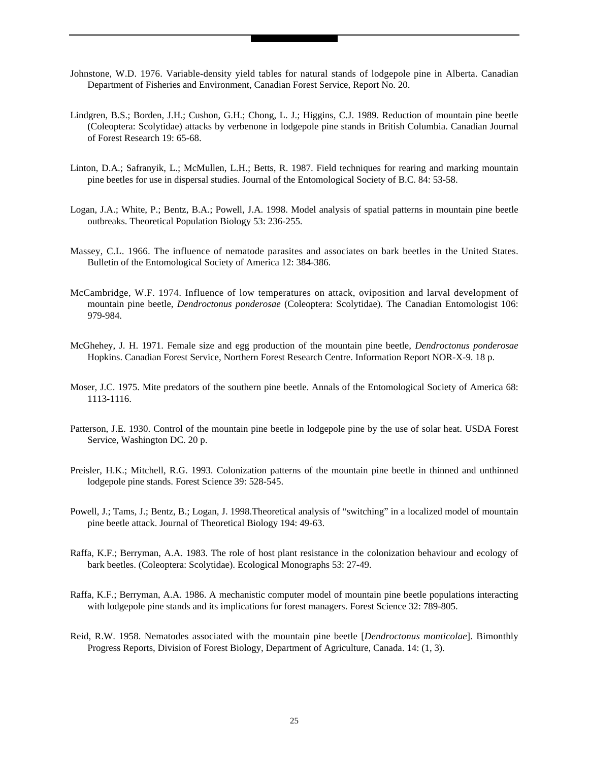- Johnstone, W.D. 1976. Variable-density yield tables for natural stands of lodgepole pine in Alberta. Canadian Department of Fisheries and Environment, Canadian Forest Service, Report No. 20.
- Lindgren, B.S.; Borden, J.H.; Cushon, G.H.; Chong, L. J.; Higgins, C.J. 1989. Reduction of mountain pine beetle (Coleoptera: Scolytidae) attacks by verbenone in lodgepole pine stands in British Columbia. Canadian Journal of Forest Research 19: 65-68.
- Linton, D.A.; Safranyik, L.; McMullen, L.H.; Betts, R. 1987. Field techniques for rearing and marking mountain pine beetles for use in dispersal studies. Journal of the Entomological Society of B.C. 84: 53-58.
- Logan, J.A.; White, P.; Bentz, B.A.; Powell, J.A. 1998. Model analysis of spatial patterns in mountain pine beetle outbreaks. Theoretical Population Biology 53: 236-255.
- Massey, C.L. 1966. The influence of nematode parasites and associates on bark beetles in the United States. Bulletin of the Entomological Society of America 12: 384-386.
- McCambridge, W.F. 1974. Influence of low temperatures on attack, oviposition and larval development of mountain pine beetle, *Dendroctonus ponderosae* (Coleoptera: Scolytidae). The Canadian Entomologist 106: 979-984.
- McGhehey, J. H. 1971. Female size and egg production of the mountain pine beetle, *Dendroctonus ponderosae* Hopkins. Canadian Forest Service, Northern Forest Research Centre. Information Report NOR-X-9. 18 p.
- Moser, J.C. 1975. Mite predators of the southern pine beetle. Annals of the Entomological Society of America 68: 1113-1116.
- Patterson, J.E. 1930. Control of the mountain pine beetle in lodgepole pine by the use of solar heat. USDA Forest Service, Washington DC. 20 p.
- Preisler, H.K.; Mitchell, R.G. 1993. Colonization patterns of the mountain pine beetle in thinned and unthinned lodgepole pine stands. Forest Science 39: 528-545.
- Powell, J.; Tams, J.; Bentz, B.; Logan, J. 1998.Theoretical analysis of "switching" in a localized model of mountain pine beetle attack. Journal of Theoretical Biology 194: 49-63.
- Raffa, K.F.; Berryman, A.A. 1983. The role of host plant resistance in the colonization behaviour and ecology of bark beetles. (Coleoptera: Scolytidae). Ecological Monographs 53: 27-49.
- Raffa, K.F.; Berryman, A.A. 1986. A mechanistic computer model of mountain pine beetle populations interacting with lodgepole pine stands and its implications for forest managers. Forest Science 32: 789-805.
- Reid, R.W. 1958. Nematodes associated with the mountain pine beetle [*Dendroctonus monticolae*]. Bimonthly Progress Reports, Division of Forest Biology, Department of Agriculture, Canada. 14: (1, 3).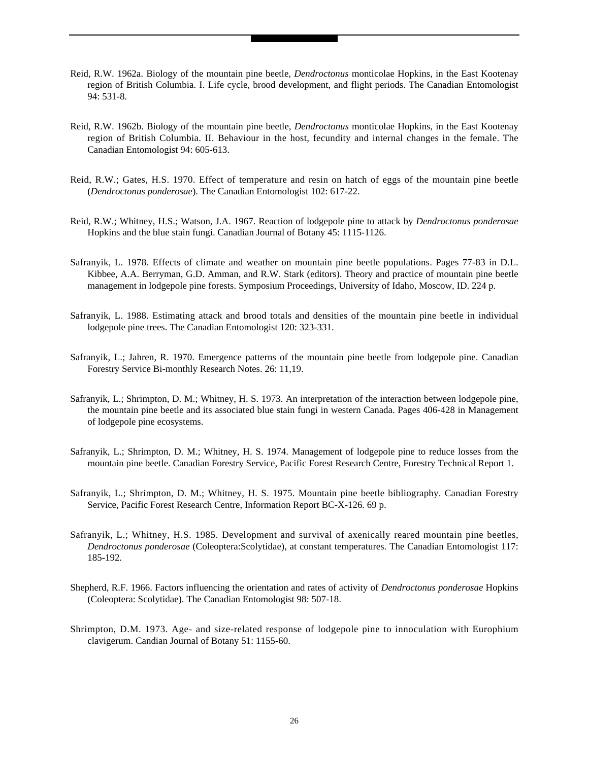- Reid, R.W. 1962a. Biology of the mountain pine beetle, *Dendroctonus* monticolae Hopkins, in the East Kootenay region of British Columbia. I. Life cycle, brood development, and flight periods. The Canadian Entomologist 94: 531-8.
- Reid, R.W. 1962b. Biology of the mountain pine beetle, *Dendroctonus* monticolae Hopkins, in the East Kootenay region of British Columbia. II. Behaviour in the host, fecundity and internal changes in the female. The Canadian Entomologist 94: 605-613.
- Reid, R.W.; Gates, H.S. 1970. Effect of temperature and resin on hatch of eggs of the mountain pine beetle (*Dendroctonus ponderosae*). The Canadian Entomologist 102: 617-22.
- Reid, R.W.; Whitney, H.S.; Watson, J.A. 1967. Reaction of lodgepole pine to attack by *Dendroctonus ponderosae* Hopkins and the blue stain fungi. Canadian Journal of Botany 45: 1115-1126.
- Safranyik, L. 1978. Effects of climate and weather on mountain pine beetle populations. Pages 77-83 in D.L. Kibbee, A.A. Berryman, G.D. Amman, and R.W. Stark (editors). Theory and practice of mountain pine beetle management in lodgepole pine forests. Symposium Proceedings, University of Idaho, Moscow, ID. 224 p.
- Safranyik, L. 1988. Estimating attack and brood totals and densities of the mountain pine beetle in individual lodgepole pine trees. The Canadian Entomologist 120: 323-331.
- Safranyik, L.; Jahren, R. 1970. Emergence patterns of the mountain pine beetle from lodgepole pine. Canadian Forestry Service Bi-monthly Research Notes. 26: 11,19.
- Safranyik, L.; Shrimpton, D. M.; Whitney, H. S. 1973. An interpretation of the interaction between lodgepole pine, the mountain pine beetle and its associated blue stain fungi in western Canada. Pages 406-428 in Management of lodgepole pine ecosystems.
- Safranyik, L.; Shrimpton, D. M.; Whitney, H. S. 1974. Management of lodgepole pine to reduce losses from the mountain pine beetle. Canadian Forestry Service, Pacific Forest Research Centre, Forestry Technical Report 1.
- Safranyik, L.; Shrimpton, D. M.; Whitney, H. S. 1975. Mountain pine beetle bibliography. Canadian Forestry Service, Pacific Forest Research Centre, Information Report BC-X-126. 69 p.
- Safranyik, L.; Whitney, H.S. 1985. Development and survival of axenically reared mountain pine beetles, *Dendroctonus ponderosae* (Coleoptera:Scolytidae), at constant temperatures. The Canadian Entomologist 117: 185-192.
- Shepherd, R.F. 1966. Factors influencing the orientation and rates of activity of *Dendroctonus ponderosae* Hopkins (Coleoptera: Scolytidae). The Canadian Entomologist 98: 507-18.
- Shrimpton, D.M. 1973. Age- and size-related response of lodgepole pine to innoculation with Europhium clavigerum. Candian Journal of Botany 51: 1155-60.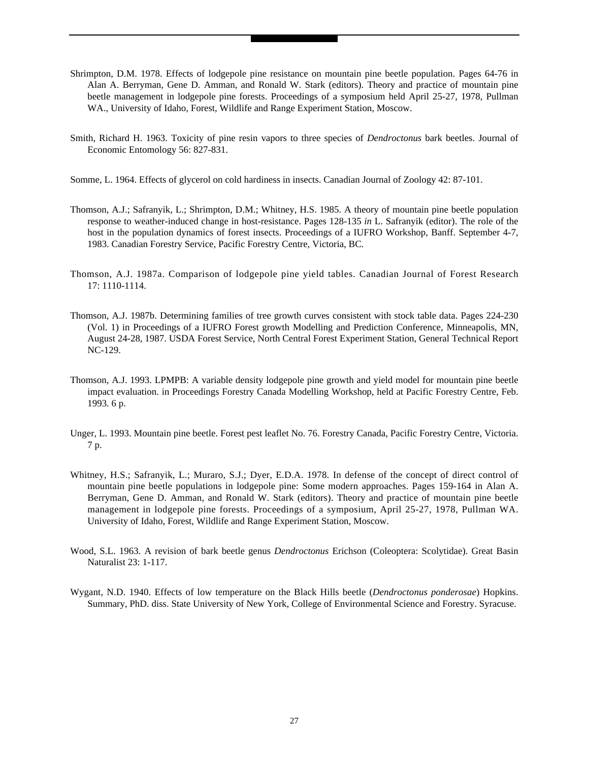- Shrimpton, D.M. 1978. Effects of lodgepole pine resistance on mountain pine beetle population. Pages 64-76 in Alan A. Berryman, Gene D. Amman, and Ronald W. Stark (editors). Theory and practice of mountain pine beetle management in lodgepole pine forests. Proceedings of a symposium held April 25-27, 1978, Pullman WA., University of Idaho, Forest, Wildlife and Range Experiment Station, Moscow.
- Smith, Richard H. 1963. Toxicity of pine resin vapors to three species of *Dendroctonus* bark beetles. Journal of Economic Entomology 56: 827-831.
- Somme, L. 1964. Effects of glycerol on cold hardiness in insects. Canadian Journal of Zoology 42: 87-101.
- Thomson, A.J.; Safranyik, L.; Shrimpton, D.M.; Whitney, H.S. 1985. A theory of mountain pine beetle population response to weather-induced change in host-resistance. Pages 128-135 *in* L. Safranyik (editor). The role of the host in the population dynamics of forest insects. Proceedings of a IUFRO Workshop, Banff. September 4-7, 1983. Canadian Forestry Service, Pacific Forestry Centre, Victoria, BC.
- Thomson, A.J. 1987a. Comparison of lodgepole pine yield tables. Canadian Journal of Forest Research 17: 1110-1114.
- Thomson, A.J. 1987b. Determining families of tree growth curves consistent with stock table data. Pages 224-230 (Vol. 1) in Proceedings of a IUFRO Forest growth Modelling and Prediction Conference, Minneapolis, MN, August 24-28, 1987. USDA Forest Service, North Central Forest Experiment Station, General Technical Report NC-129.
- Thomson, A.J. 1993. LPMPB: A variable density lodgepole pine growth and yield model for mountain pine beetle impact evaluation. in Proceedings Forestry Canada Modelling Workshop, held at Pacific Forestry Centre, Feb. 1993. 6 p.
- Unger, L. 1993. Mountain pine beetle. Forest pest leaflet No. 76. Forestry Canada, Pacific Forestry Centre, Victoria. 7 p.
- Whitney, H.S.; Safranyik, L.; Muraro, S.J.; Dyer, E.D.A. 1978. In defense of the concept of direct control of mountain pine beetle populations in lodgepole pine: Some modern approaches. Pages 159-164 in Alan A. Berryman, Gene D. Amman, and Ronald W. Stark (editors). Theory and practice of mountain pine beetle management in lodgepole pine forests. Proceedings of a symposium, April 25-27, 1978, Pullman WA. University of Idaho, Forest, Wildlife and Range Experiment Station, Moscow.
- Wood, S.L. 1963. A revision of bark beetle genus *Dendroctonus* Erichson (Coleoptera: Scolytidae). Great Basin Naturalist 23: 1-117.
- Wygant, N.D. 1940. Effects of low temperature on the Black Hills beetle (*Dendroctonus ponderosae*) Hopkins. Summary, PhD. diss. State University of New York, College of Environmental Science and Forestry. Syracuse.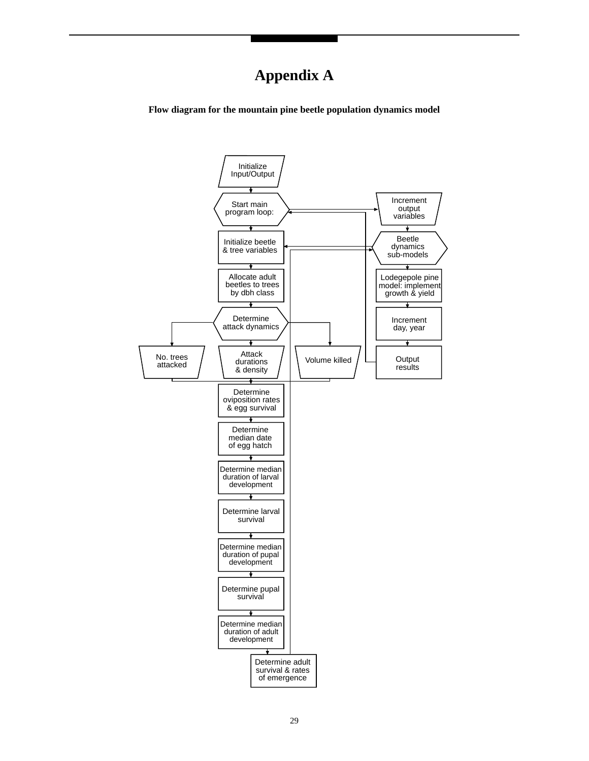# **Appendix A**

**Flow diagram for the mountain pine beetle population dynamics model**

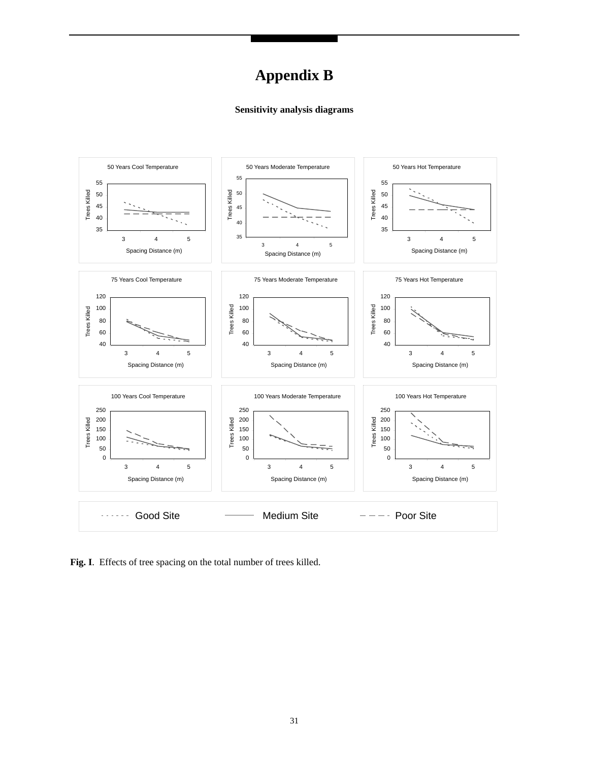# **Appendix B**

#### **Sensitivity analysis diagrams**



**Fig. I**. Effects of tree spacing on the total number of trees killed.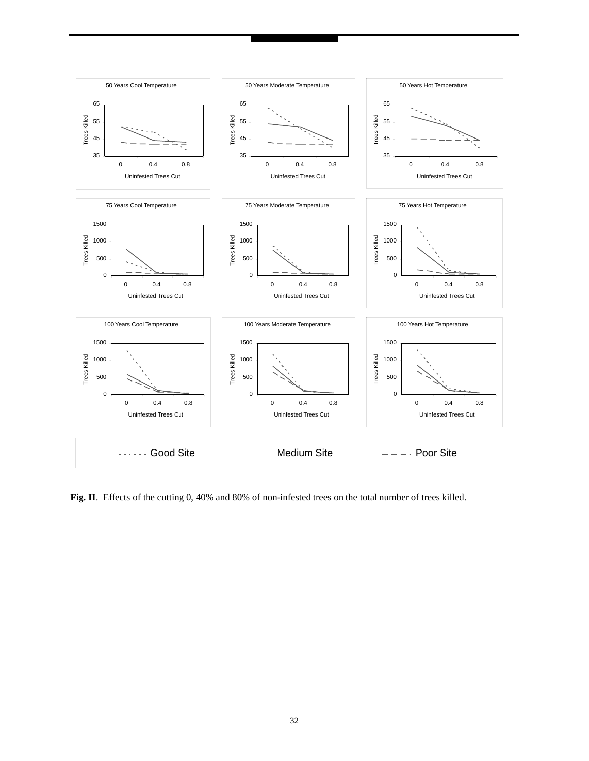

**Fig. II**. Effects of the cutting 0, 40% and 80% of non-infested trees on the total number of trees killed.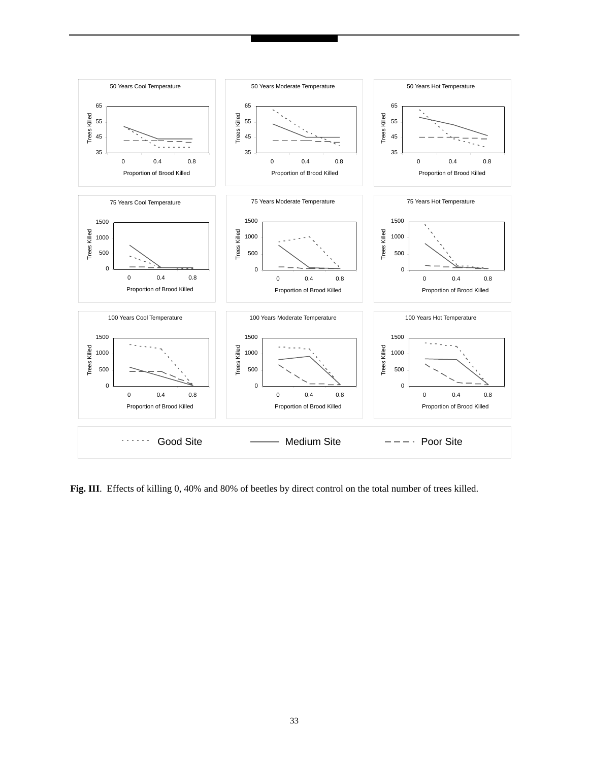

Fig. III. Effects of killing 0, 40% and 80% of beetles by direct control on the total number of trees killed.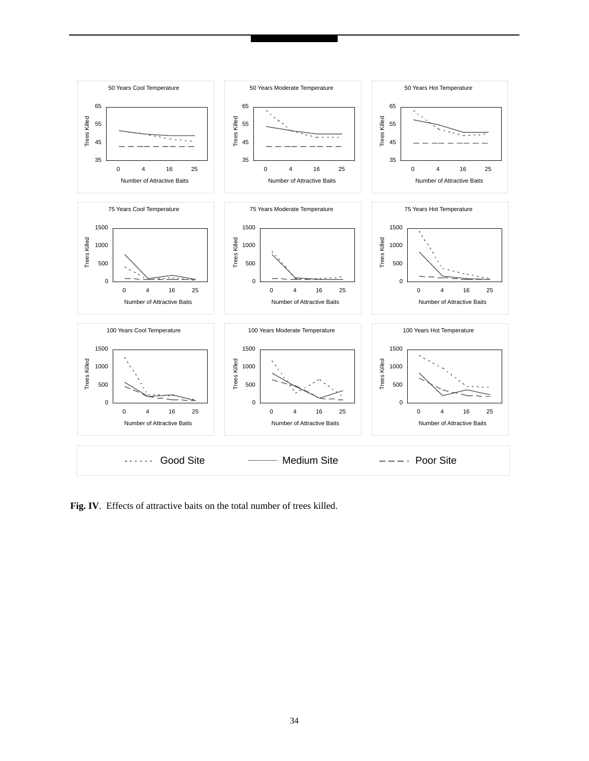

Fig. IV. Effects of attractive baits on the total number of trees killed.